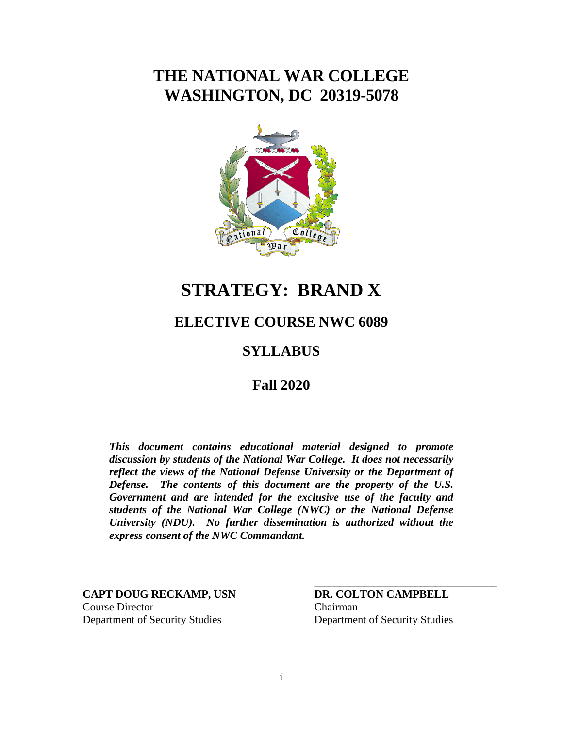# **THE NATIONAL WAR COLLEGE WASHINGTON, DC 20319-5078**



# **STRATEGY: BRAND X**

# **ELECTIVE COURSE NWC 6089**

# **SYLLABUS**

# **Fall 2020**

*This document contains educational material designed to promote discussion by students of the National War College. It does not necessarily reflect the views of the National Defense University or the Department of Defense. The contents of this document are the property of the U.S. Government and are intended for the exclusive use of the faculty and students of the National War College (NWC) or the National Defense University (NDU). No further dissemination is authorized without the express consent of the NWC Commandant.* 

**CAPT DOUG RECKAMP, USN DR. COLTON CAMPBELL** Course Director Chairman Department of Security Studies Department of Security Studies

\_\_\_\_\_\_\_\_\_\_\_\_\_\_\_\_\_\_\_\_\_\_\_\_\_\_\_\_\_\_\_\_\_\_\_\_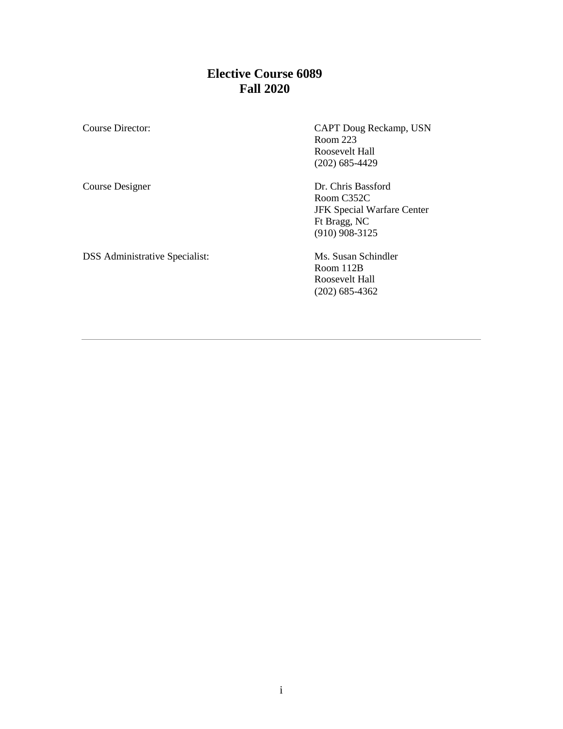# **Elective Course 6089 Fall 2020**

Course Director: CAPT Doug Reckamp, USN Room 223 Roosevelt Hall (202) 685-4429

Course Designer Dr. Chris Bassford

DSS Administrative Specialist: Ms. Susan Schindler

Room C352C JFK Special Warfare Center Ft Bragg, NC (910) 908-3125

Room 112B Roosevelt Hall (202) 685-4362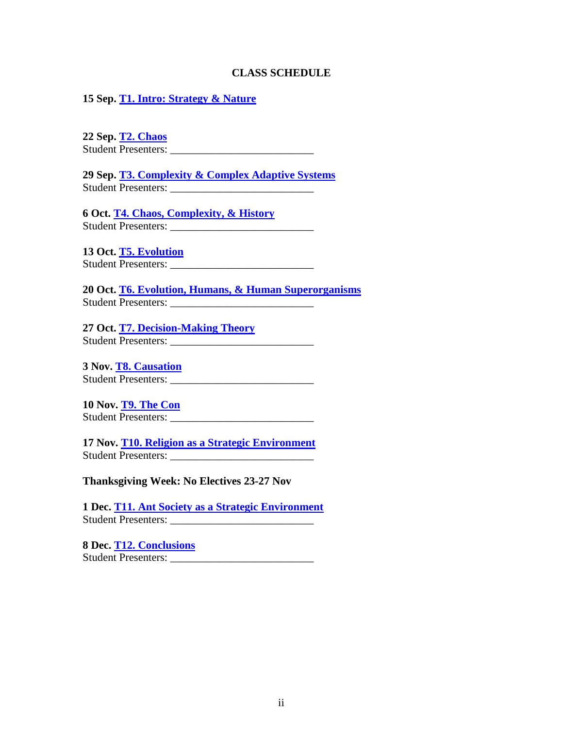#### **CLASS SCHEDULE**

**15 Sep. [T1. Intro: Strategy & Nature](http://www.clausewitz.com/courses/6089R/intro.php)**

**22 Sep. [T2. Chaos](http://www.clausewitz.com/courses/6089R/chaos.php)** Student Presenters:

**29 Sep. [T3. Complexity & Complex Adaptive Systems](http://www.clausewitz.com/courses/6089R/complexity.php)** Student Presenters: \_\_\_\_\_\_\_\_\_\_\_\_\_\_\_\_\_\_\_\_\_\_\_\_\_\_

**6 Oct. [T4. Chaos, Complexity, & History](http://www.clausewitz.com/courses/6089R/history.php)** Student Presenters: \_\_\_\_\_\_\_\_\_\_\_\_\_\_\_\_\_\_\_\_\_\_\_\_\_\_

**13 Oct. [T5. Evolution](http://www.clausewitz.com/courses/6089R/evolution.php)** Student Presenters: \_\_\_\_\_\_\_\_\_\_\_\_\_\_\_\_\_\_\_\_\_\_\_\_\_\_

**20 Oct. [T6. Evolution, Humans, & Human Superorganisms](http://www.clausewitz.com/courses/6089R/humans.php)** Student Presenters:

**27 Oct. [T7. Decision-Making Theory](http://www.clausewitz.com/courses/6089R/causation.php)** Student Presenters: \_\_\_\_\_\_\_\_\_\_\_\_\_\_\_\_\_\_\_\_\_\_\_\_\_\_

**3 Nov. [T8. Causation](http://www.clausewitz.com/courses/6089R/causation.php)** Student Presenters: \_\_\_\_\_\_\_\_\_\_\_\_\_\_\_\_\_\_\_\_\_\_\_\_\_\_

**10 Nov. [T9. The](http://www.clausewitz.com/courses/6089R/ants.php) Con** Student Presenters: \_\_\_\_\_\_\_\_\_\_\_\_\_\_\_\_\_\_\_\_\_\_\_\_\_\_

**17 Nov. [T10. Religion as a Strategic Environment](http://www.clausewitz.com/courses/6089R/religion.php)** Student Presenters: \_\_\_\_\_\_\_\_\_\_\_\_\_\_\_\_\_\_\_\_\_\_\_\_\_\_

**Thanksgiving Week: No Electives 23-27 Nov**

**1 Dec. [T11. Ant Society as a Strategic Environment](http://www.clausewitz.com/courses/6089R/ants.php)** Student Presenters: \_\_\_\_\_\_\_\_\_\_\_\_\_\_\_\_\_\_\_\_\_\_\_\_\_\_

**8 Dec. [T12. Conclusions](http://www.clausewitz.com/courses/6089R/conclusions.php)** Student Presenters: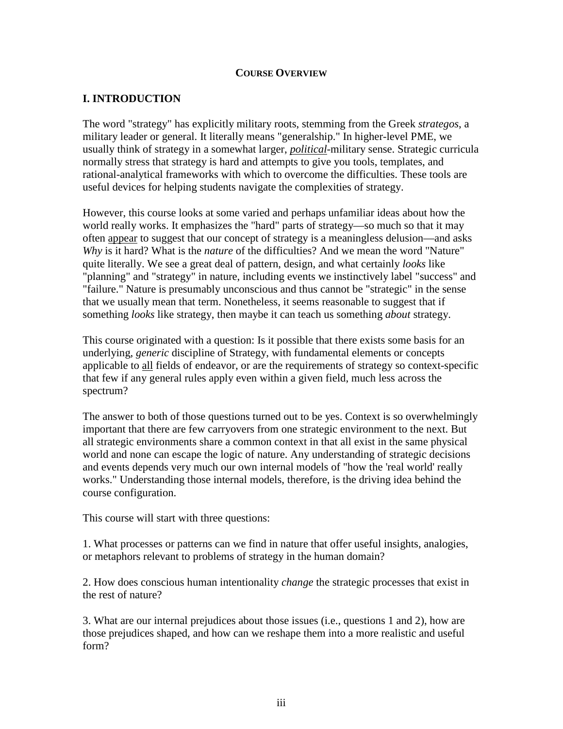### **COURSE OVERVIEW**

### **I. INTRODUCTION**

The word "strategy" has explicitly military roots, stemming from the Greek *strategos*, a military leader or general. It literally means "generalship." In higher-level PME, we usually think of strategy in a somewhat larger, *political*-military sense. Strategic curricula normally stress that strategy is hard and attempts to give you tools, templates, and rational-analytical frameworks with which to overcome the difficulties. These tools are useful devices for helping students navigate the complexities of strategy.

However, this course looks at some varied and perhaps unfamiliar ideas about how the world really works. It emphasizes the "hard" parts of strategy—so much so that it may often appear to suggest that our concept of strategy is a meaningless delusion—and asks *Why* is it hard? What is the *nature* of the difficulties? And we mean the word "Nature" quite literally. We see a great deal of pattern, design, and what certainly *looks* like "planning" and "strategy" in nature, including events we instinctively label "success" and "failure." Nature is presumably unconscious and thus cannot be "strategic" in the sense that we usually mean that term. Nonetheless, it seems reasonable to suggest that if something *looks* like strategy, then maybe it can teach us something *about* strategy.

This course originated with a question: Is it possible that there exists some basis for an underlying, *generic* discipline of Strategy, with fundamental elements or concepts applicable to all fields of endeavor, or are the requirements of strategy so context-specific that few if any general rules apply even within a given field, much less across the spectrum?

The answer to both of those questions turned out to be yes. Context is so overwhelmingly important that there are few carryovers from one strategic environment to the next. But all strategic environments share a common context in that all exist in the same physical world and none can escape the logic of nature. Any understanding of strategic decisions and events depends very much our own internal models of "how the 'real world' really works." Understanding those internal models, therefore, is the driving idea behind the course configuration.

This course will start with three questions:

1. What processes or patterns can we find in nature that offer useful insights, analogies, or metaphors relevant to problems of strategy in the human domain?

2. How does conscious human intentionality *change* the strategic processes that exist in the rest of nature?

3. What are our internal prejudices about those issues (i.e., questions 1 and 2), how are those prejudices shaped, and how can we reshape them into a more realistic and useful form?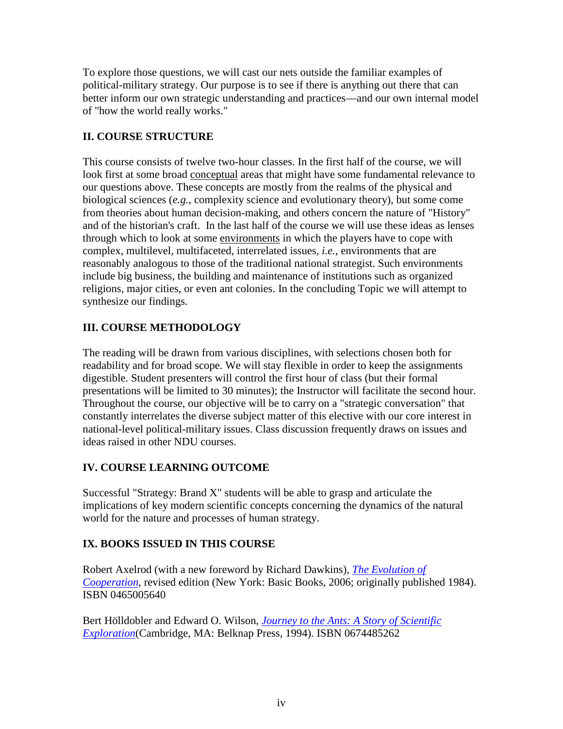To explore those questions, we will cast our nets outside the familiar examples of political-military strategy. Our purpose is to see if there is anything out there that can better inform our own strategic understanding and practices—and our own internal model of "how the world really works."

# **II. COURSE STRUCTURE**

This course consists of twelve two-hour classes. In the first half of the course, we will look first at some broad conceptual areas that might have some fundamental relevance to our questions above. These concepts are mostly from the realms of the physical and biological sciences (*e.g.*, complexity science and evolutionary theory), but some come from theories about human decision-making, and others concern the nature of "History" and of the historian's craft. In the last half of the course we will use these ideas as lenses through which to look at some environments in which the players have to cope with complex, multilevel, multifaceted, interrelated issues*, i.e.*, environments that are reasonably analogous to those of the traditional national strategist. Such environments include big business, the building and maintenance of institutions such as organized religions, major cities, or even ant colonies. In the concluding Topic we will attempt to synthesize our findings.

# **III. COURSE METHODOLOGY**

The reading will be drawn from various disciplines, with selections chosen both for readability and for broad scope. We will stay flexible in order to keep the assignments digestible. Student presenters will control the first hour of class (but their formal presentations will be limited to 30 minutes); the Instructor will facilitate the second hour. Throughout the course, our objective will be to carry on a "strategic conversation" that constantly interrelates the diverse subject matter of this elective with our core interest in national-level political-military issues. Class discussion frequently draws on issues and ideas raised in other NDU courses.

# **IV. COURSE LEARNING OUTCOME**

Successful "Strategy: Brand X" students will be able to grasp and articulate the implications of key modern scientific concepts concerning the dynamics of the natural world for the nature and processes of human strategy.

# **IX. BOOKS ISSUED IN THIS COURSE**

Robert Axelrod (with a new foreword by Richard Dawkins), *[The Evolution of](http://www.amazon.com/exec/obidos/ASIN/0465005640/ref=ase_theclausewitzhomA/)  [Cooperation](http://www.amazon.com/exec/obidos/ASIN/0465005640/ref=ase_theclausewitzhomA/)*, revised edition (New York: Basic Books, 2006; originally published 1984). ISBN 0465005640

Bert Hölldobler and Edward O. Wilson, *[Journey to the Ants: A Story of Scientific](http://www.amazon.com/exec/obidos/ASIN/0674485262/ref=ase_theclausewitzhomA/)  [Exploration](http://www.amazon.com/exec/obidos/ASIN/0674485262/ref=ase_theclausewitzhomA/)*(Cambridge, MA: Belknap Press, 1994). ISBN 0674485262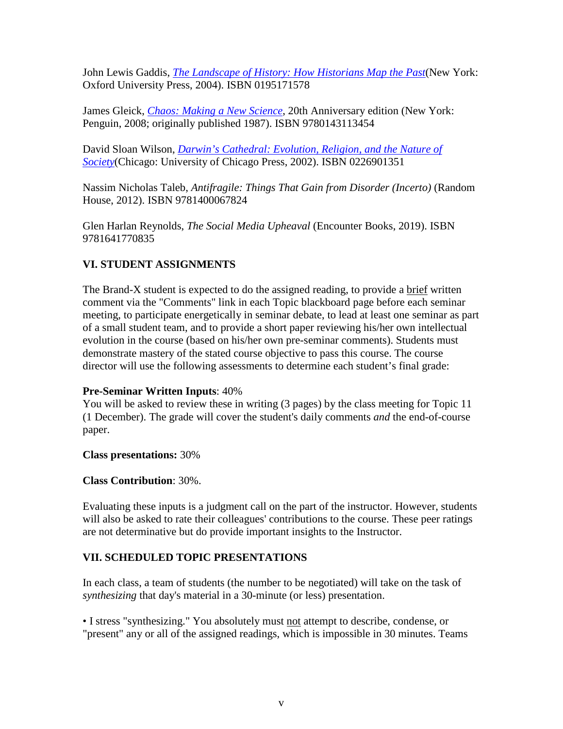John Lewis Gaddis, *[The Landscape of History: How Historians Map the Past](http://www.amazon.com/exec/obidos/ASIN/0195171578/ref=ase_theclausewitzhomA/)*(New York: Oxford University Press, 2004). ISBN 0195171578

James Gleick, *[Chaos: Making a New Science](http://www.amazon.com/exec/obidos/ASIN/0140092501/ref=ase_theclausewitzhomA/)*, 20th Anniversary edition (New York: Penguin, 2008; originally published 1987). ISBN 9780143113454

David Sloan Wilson, *[Darwin's Cathedral: Evolution, Religion,](http://www.amazon.com/exec/obidos/ASIN/0226901351/ref=ase_theclausewitzhomA/) and the Nature of [Society](http://www.amazon.com/exec/obidos/ASIN/0226901351/ref=ase_theclausewitzhomA/)*(Chicago: University of Chicago Press, 2002). ISBN 0226901351

Nassim Nicholas Taleb, *Antifragile: Things That Gain from Disorder (Incerto)* (Random House, 2012). ISBN 9781400067824

Glen Harlan Reynolds, *The Social Media Upheaval* (Encounter Books, 2019). ISBN 9781641770835

# **VI. STUDENT ASSIGNMENTS**

The Brand-X student is expected to do the assigned reading, to provide a brief written comment via the "Comments" link in each Topic blackboard page before each seminar meeting, to participate energetically in seminar debate, to lead at least one seminar as part of a small student team, and to provide a short paper reviewing his/her own intellectual evolution in the course (based on his/her own pre-seminar comments). Students must demonstrate mastery of the stated course objective to pass this course. The course director will use the following assessments to determine each student's final grade:

### **Pre-Seminar Written Inputs**: 40%

You will be asked to review these in writing (3 pages) by the class meeting for Topic 11 (1 December). The grade will cover the student's daily comments *and* the end-of-course paper.

### **Class presentations:** 30%

### **Class Contribution**: 30%.

Evaluating these inputs is a judgment call on the part of the instructor. However, students will also be asked to rate their colleagues' contributions to the course. These peer ratings are not determinative but do provide important insights to the Instructor.

### **VII. SCHEDULED TOPIC PRESENTATIONS**

In each class, a team of students (the number to be negotiated) will take on the task of *synthesizing* that day's material in a 30-minute (or less) presentation.

• I stress "synthesizing." You absolutely must not attempt to describe, condense, or "present" any or all of the assigned readings, which is impossible in 30 minutes. Teams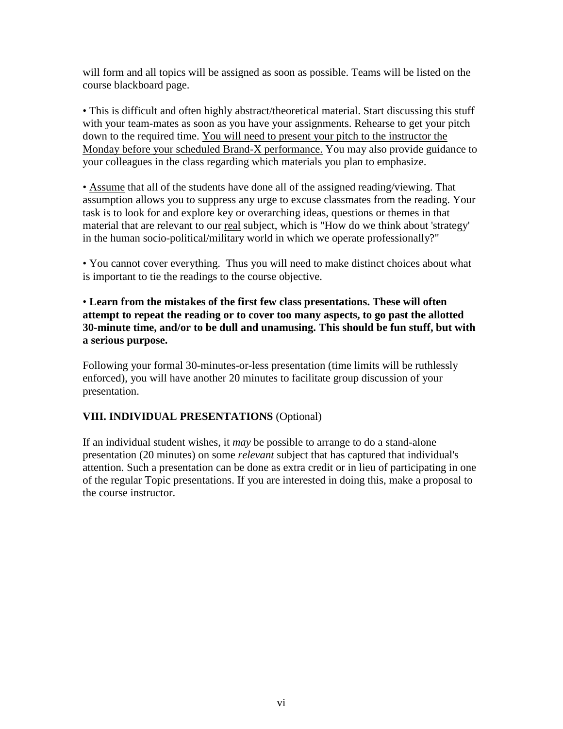will form and all topics will be assigned as soon as possible. Teams will be listed on the course blackboard page.

• This is difficult and often highly abstract/theoretical material. Start discussing this stuff with your team-mates as soon as you have your assignments. Rehearse to get your pitch down to the required time. You will need to present your pitch to the instructor the Monday before your scheduled Brand-X performance. You may also provide guidance to your colleagues in the class regarding which materials you plan to emphasize.

• Assume that all of the students have done all of the assigned reading/viewing. That assumption allows you to suppress any urge to excuse classmates from the reading. Your task is to look for and explore key or overarching ideas, questions or themes in that material that are relevant to our real subject, which is "How do we think about 'strategy' in the human socio-political/military world in which we operate professionally?"

• You cannot cover everything. Thus you will need to make distinct choices about what is important to tie the readings to the course objective.

• **Learn from the mistakes of the first few class presentations. These will often attempt to repeat the reading or to cover too many aspects, to go past the allotted 30-minute time, and/or to be dull and unamusing. This should be fun stuff, but with a serious purpose.**

Following your formal 30-minutes-or-less presentation (time limits will be ruthlessly enforced), you will have another 20 minutes to facilitate group discussion of your presentation.

### **VIII. INDIVIDUAL PRESENTATIONS** (Optional)

If an individual student wishes, it *may* be possible to arrange to do a stand-alone presentation (20 minutes) on some *relevant* subject that has captured that individual's attention. Such a presentation can be done as extra credit or in lieu of participating in one of the regular Topic presentations. If you are interested in doing this, make a proposal to the course instructor.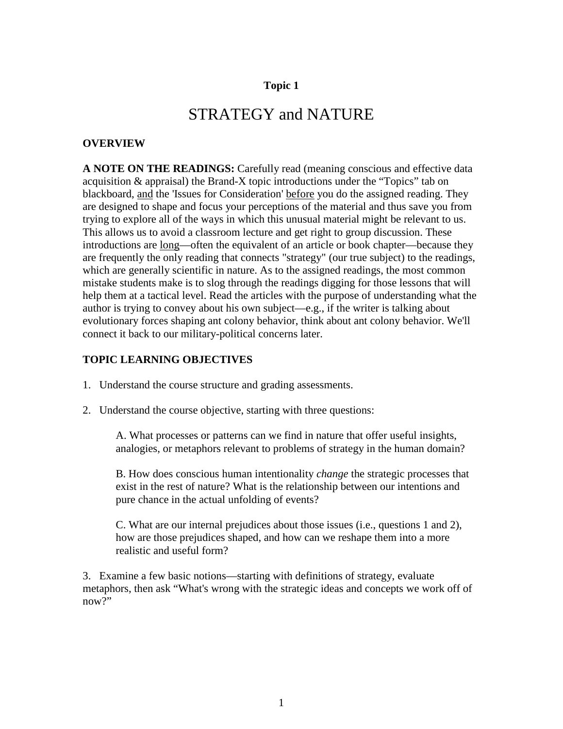# STRATEGY and NATURE

#### **OVERVIEW**

**A NOTE ON THE READINGS:** Carefully read (meaning conscious and effective data acquisition & appraisal) the Brand-X topic introductions under the "Topics" tab on blackboard, and the 'Issues for Consideration' before you do the assigned reading. They are designed to shape and focus your perceptions of the material and thus save you from trying to explore all of the ways in which this unusual material might be relevant to us. This allows us to avoid a classroom lecture and get right to group discussion. These introductions are long—often the equivalent of an article or book chapter—because they are frequently the only reading that connects "strategy" (our true subject) to the readings, which are generally scientific in nature. As to the assigned readings, the most common mistake students make is to slog through the readings digging for those lessons that will help them at a tactical level. Read the articles with the purpose of understanding what the author is trying to convey about his own subject—e.g., if the writer is talking about evolutionary forces shaping ant colony behavior, think about ant colony behavior. We'll connect it back to our military-political concerns later.

### **TOPIC LEARNING OBJECTIVES**

- 1. Understand the course structure and grading assessments.
- 2. Understand the course objective, starting with three questions:

A. What processes or patterns can we find in nature that offer useful insights, analogies, or metaphors relevant to problems of strategy in the human domain?

B. How does conscious human intentionality *change* the strategic processes that exist in the rest of nature? What is the relationship between our intentions and pure chance in the actual unfolding of events?

C. What are our internal prejudices about those issues (i.e., questions 1 and 2), how are those prejudices shaped, and how can we reshape them into a more realistic and useful form?

3. Examine a few basic notions—starting with definitions of strategy, evaluate metaphors, then ask "What's wrong with the strategic ideas and concepts we work off of now?"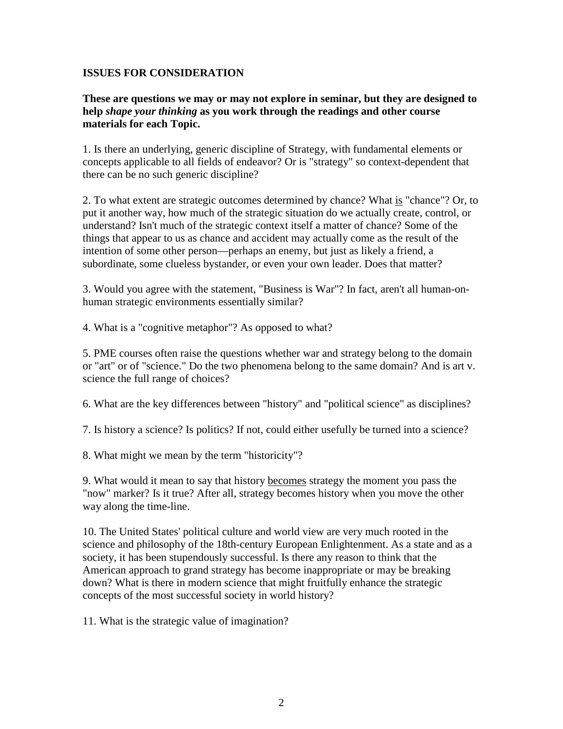### **ISSUES FOR CONSIDERATION**

**These are questions we may or may not explore in seminar, but they are designed to help** *shape your thinking* **as you work through the readings and other course materials for each Topic.**

1. Is there an underlying, generic discipline of Strategy, with fundamental elements or concepts applicable to all fields of endeavor? Or is "strategy" so context-dependent that there can be no such generic discipline?

2. To what extent are strategic outcomes determined by chance? What is "chance"? Or, to put it another way, how much of the strategic situation do we actually create, control, or understand? Isn't much of the strategic context itself a matter of chance? Some of the things that appear to us as chance and accident may actually come as the result of the intention of some other person—perhaps an enemy, but just as likely a friend, a subordinate, some clueless bystander, or even your own leader. Does that matter?

3. Would you agree with the statement, "Business is War"? In fact, aren't all human-onhuman strategic environments essentially similar?

4. What is a "cognitive metaphor"? As opposed to what?

5. PME courses often raise the questions whether war and strategy belong to the domain or "art" or of "science." Do the two phenomena belong to the same domain? And is art v. science the full range of choices?

6. What are the key differences between "history" and "political science" as disciplines?

7. Is history a science? Is politics? If not, could either usefully be turned into a science?

8. What might we mean by the term "historicity"?

9. What would it mean to say that history becomes strategy the moment you pass the "now" marker? Is it true? After all, strategy becomes history when you move the other way along the time-line.

10. The United States' political culture and world view are very much rooted in the science and philosophy of the 18th-century European Enlightenment. As a state and as a society, it has been stupendously successful. Is there any reason to think that the American approach to grand strategy has become inappropriate or may be breaking down? What is there in modern science that might fruitfully enhance the strategic concepts of the most successful society in world history?

11. What is the strategic value of imagination?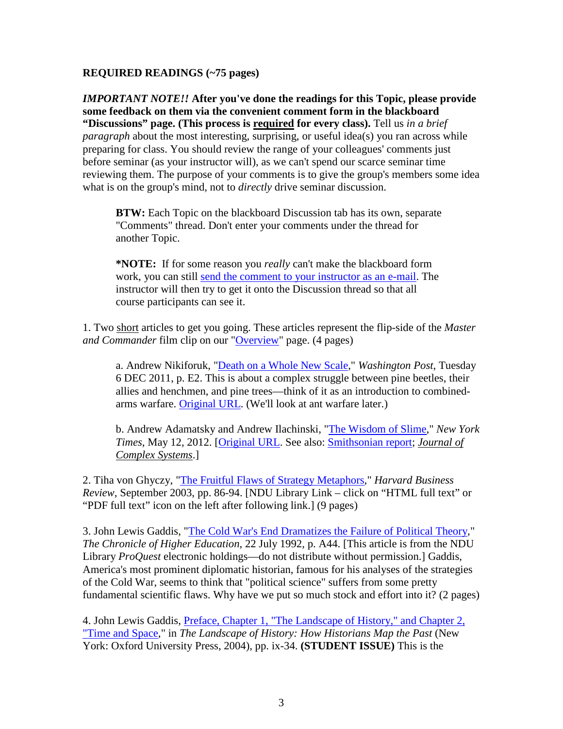### **REQUIRED READINGS (~75 pages)**

*IMPORTANT NOTE!!* **After you've done the readings for this Topic, please provide some feedback on them via the convenient comment form in the blackboard "Discussions" page. (This process is required for every class).** Tell us *in a brief paragraph* about the most interesting, surprising, or useful idea(s) you ran across while preparing for class. You should review the range of your colleagues' comments just before seminar (as your instructor will), as we can't spend our scarce seminar time reviewing them. The purpose of your comments is to give the group's members some idea what is on the group's mind, not to *directly* drive seminar discussion.

**BTW:** Each Topic on the blackboard Discussion tab has its own, separate "Comments" thread. Don't enter your comments under the thread for another Topic.

**\*NOTE:** If for some reason you *really* can't make the blackboard form work, you can still [send the comment to your instructor as an e-mail.](mailto:douglas.e.reckamp.mil@gc.ndu.edu?subject=6089%20comment) The instructor will then try to get it onto the Discussion thread so that all course participants can see it.

1. Two short articles to get you going. These articles represent the flip-side of the *Master and Commander* film clip on our ["Overview"](http://www.clausewitz.com/courses/6089R/overview.htm) page. (4 pages)

a. Andrew Nikiforuk, ["Death on a Whole New Scale,](http://www.clausewitz.com/courses/6089R/articles/Nikiforuk-BarkBeetles.htm)" *Washington Post*, Tuesday 6 DEC 2011, p. E2. This is about a complex struggle between pine beetles, their allies and henchmen, and pine trees—think of it as an introduction to combinedarms warfare. [Original URL.](http://www.washingtonpost.com/national/health-science/bark-beetles-aided-by-climate-change-are-devastating-us-pine-forests/2011/11/08/gIQA0B0CWO_print.html) (We'll look at ant warfare later.)

b. Andrew Adamatsky and Andrew Ilachinski, ["The Wisdom of Slime,](http://www.clausewitz.com/courses/6089R/articles/AdamatskyAndIlachinsky-WisdomOfSlime2012.htm)" *New York Times*, May 12, 2012. [\[Original URL.](http://www.nytimes.com/2012/05/13/opinion/sunday/the-wisdom-of-slime.html?_r=0) See also: [Smithsonian report;](http://www.smithsonianmag.com/science-nature/if-the-interstate-system-were-designed-by-a-slime-mold-93309928/?no-ist=) *[Journal of](http://arxiv.org/pdf/1203.2851v1.pdf)  [Complex Systems](http://arxiv.org/pdf/1203.2851v1.pdf)*.]

2. Tiha von Ghyczy, ["The Fruitful Flaws of Strategy Metaphors,](https://web.b.ebscohost.com/ehost/detail/detail?sid=dd28e6bf-91f3-4e13-9529-23065bc9b481%40sessionmgr104&vid=0&hid=125&bdata=JnNpdGU9ZWhvc3QtbGl2ZSZzY29wZT1zaXRl#AN=10687931&db=buh)" *Harvard Business Review*, September 2003, pp. 86-94. [NDU Library Link – click on "HTML full text" or "PDF full text" icon on the left after following link.] (9 pages)

3. John Lewis Gaddis, ["The Cold War's End Dramatizes the Failure of Political Theory,](http://www.clausewitz.com/courses/6089R/articles/Gaddis22July92.htm)" *The Chronicle of Higher Education*, 22 July 1992, p. A44. [This article is from the NDU Library *ProQuest* electronic holdings—do not distribute without permission.] Gaddis, America's most prominent diplomatic historian, famous for his analyses of the strategies of the Cold War, seems to think that "political science" suffers from some pretty fundamental scientific flaws. Why have we put so much stock and effort into it? (2 pages)

4. John Lewis Gaddis, *Preface*, *Chapter 1*, "The Landscape of History," and *Chapter 2*, ["Time and Space,](http://www.clausewitz.com/courses/6089R/pdf/Gaddis-Landscape-PrefaceCh1-2.pdf#zoom=100)" in *The Landscape of History: How Historians Map the Past* (New York: Oxford University Press, 2004), pp. ix-34. **(STUDENT ISSUE)** This is the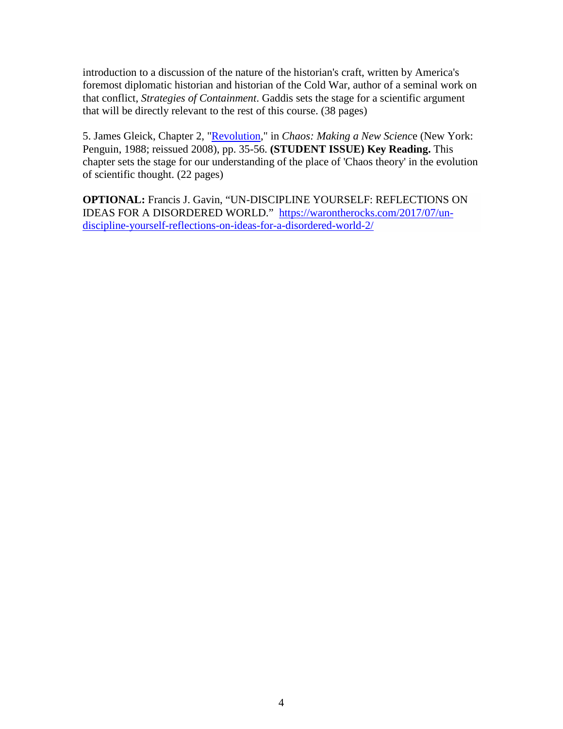introduction to a discussion of the nature of the historian's craft, written by America's foremost diplomatic historian and historian of the Cold War, author of a seminal work on that conflict, *Strategies of Containment*. Gaddis sets the stage for a scientific argument that will be directly relevant to the rest of this course. (38 pages)

5. James Gleick, Chapter 2, ["Revolution,](http://www.clausewitz.com/courses/6089R/pdf/Gleick-Ch2-Revolution.pdf#zoom=100)" in *Chaos: Making a New Scienc*e (New York: Penguin, 1988; reissued 2008), pp. 35-56. **(STUDENT ISSUE) Key Reading.** This chapter sets the stage for our understanding of the place of 'Chaos theory' in the evolution of scientific thought. (22 pages)

**OPTIONAL:** Francis J. Gavin, "UN-DISCIPLINE YOURSELF: REFLECTIONS ON IDEAS FOR A DISORDERED WORLD." [https://warontherocks.com/2017/07/un](https://warontherocks.com/2017/07/un-discipline-yourself-reflections-on-ideas-for-a-disordered-world-2/)[discipline-yourself-reflections-on-ideas-for-a-disordered-world-2/](https://warontherocks.com/2017/07/un-discipline-yourself-reflections-on-ideas-for-a-disordered-world-2/)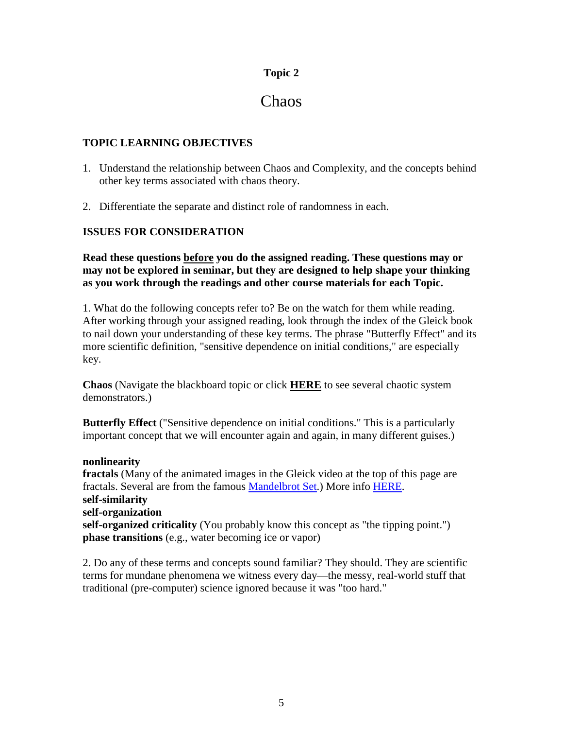# Chaos

### **TOPIC LEARNING OBJECTIVES**

- 1. Understand the relationship between Chaos and Complexity, and the concepts behind other key terms associated with chaos theory.
- 2. Differentiate the separate and distinct role of randomness in each.

### **ISSUES FOR CONSIDERATION**

**Read these questions before you do the assigned reading. These questions may or may not be explored in seminar, but they are designed to help shape your thinking as you work through the readings and other course materials for each Topic.**

1. What do the following concepts refer to? Be on the watch for them while reading. After working through your assigned reading, look through the index of the Gleick book to nail down your understanding of these key terms. The phrase "Butterfly Effect" and its more scientific definition, "sensitive dependence on initial conditions," are especially key.

**Chaos** (Navigate the blackboard topic or click **[HERE](http://www.clausewitz.com/mobile/chaosdemos.htm)** to see several chaotic system demonstrators.)

**Butterfly Effect** ("Sensitive dependence on initial conditions." This is a particularly important concept that we will encounter again and again, in many different guises.)

### **nonlinearity**

**fractals** (Many of the animated images in the Gleick video at the top of this page are fractals. Several are from the famous [Mandelbrot Set.](http://en.wikipedia.org/wiki/Mandelbrot_set)) More info [HERE.](http://www.clausewitz.com/Complex/FractalLinks.htm) **self-similarity self-organization self-organized criticality** (You probably know this concept as "the tipping point.") **phase transitions** (e.g., water becoming ice or vapor)

2. Do any of these terms and concepts sound familiar? They should. They are scientific terms for mundane phenomena we witness every day—the messy, real-world stuff that traditional (pre-computer) science ignored because it was "too hard."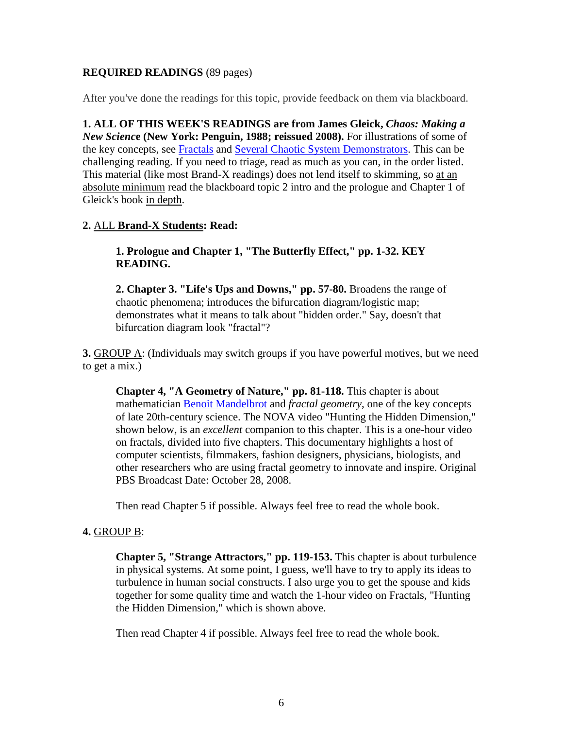### **REQUIRED READINGS** (89 pages)

After you've done the readings for this topic, provide feedback on them via blackboard.

**1. ALL OF THIS WEEK'S READINGS are from James Gleick,** *Chaos: Making a New Scienc***e (New York: Penguin, 1988; reissued 2008).** For illustrations of some of the key concepts, see [Fractals](http://www.clausewitz.com/Complex/FractalLinks.htm#Top) and [Several Chaotic System Demonstrators.](http://www.clausewitz.com/mobile/chaosdemos.htm) This can be challenging reading. If you need to triage, read as much as you can, in the order listed. This material (like most Brand-X readings) does not lend itself to skimming, so at an absolute minimum read the blackboard topic 2 intro and the prologue and Chapter 1 of Gleick's book in depth.

### **2.** ALL **Brand-X Students: Read:**

**1. Prologue and Chapter 1, "The Butterfly Effect," pp. 1-32. KEY READING.**

**2. Chapter 3. "Life's Ups and Downs," pp. 57-80.** Broadens the range of chaotic phenomena; introduces the bifurcation diagram/logistic map; demonstrates what it means to talk about "hidden order." Say, doesn't that bifurcation diagram look "fractal"?

**3.** GROUP A: (Individuals may switch groups if you have powerful motives, but we need to get a mix.)

**Chapter 4, "A Geometry of Nature," pp. 81-118.** This chapter is about mathematician [Benoit Mandelbrot](http://en.wikipedia.org/wiki/Beno%C3%AEt_Mandelbrot) and *fractal geometry*, one of the key concepts of late 20th-century science. The NOVA video "Hunting the Hidden Dimension," shown below, is an *excellent* companion to this chapter. This is a one-hour video on fractals, divided into five chapters. This documentary highlights a host of computer scientists, filmmakers, fashion designers, physicians, biologists, and other researchers who are using fractal geometry to innovate and inspire. Original PBS Broadcast Date: October 28, 2008.

Then read Chapter 5 if possible. Always feel free to read the whole book.

### **4.** GROUP B:

**Chapter 5, "Strange Attractors," pp. 119-153.** This chapter is about turbulence in physical systems. At some point, I guess, we'll have to try to apply its ideas to turbulence in human social constructs. I also urge you to get the spouse and kids together for some quality time and watch the 1-hour video on Fractals, "Hunting the Hidden Dimension," which is shown above.

Then read Chapter 4 if possible. Always feel free to read the whole book.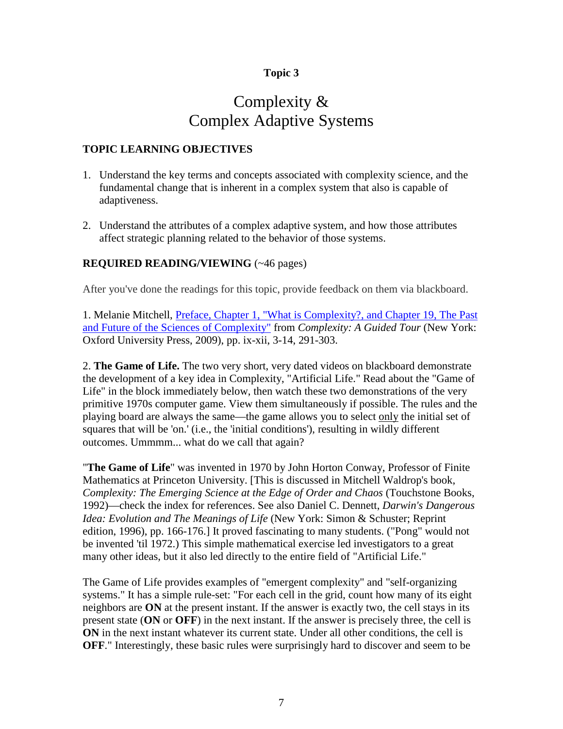# Complexity & Complex Adaptive Systems

### **TOPIC LEARNING OBJECTIVES**

- 1. Understand the key terms and concepts associated with complexity science, and the fundamental change that is inherent in a complex system that also is capable of adaptiveness.
- 2. Understand the attributes of a complex adaptive system, and how those attributes affect strategic planning related to the behavior of those systems.

### **REQUIRED READING/VIEWING** (~46 pages)

After you've done the readings for this topic, provide feedback on them via blackboard.

1. Melanie Mitchell, [Preface, Chapter 1, "What is Complexity?, and Chapter 19, The Past](http://www.clausewitz.com/courses/6089R/pdf/Mitchell-PrefaceCh1Ch19.pdf#zoom=100)  [and Future of the Sciences of Complexity"](http://www.clausewitz.com/courses/6089R/pdf/Mitchell-PrefaceCh1Ch19.pdf#zoom=100) from *Complexity: A Guided Tour* (New York: Oxford University Press, 2009), pp. ix-xii, 3-14, 291-303.

2. **The Game of Life.** The two very short, very dated videos on blackboard demonstrate the development of a key idea in Complexity, "Artificial Life." Read about the "Game of Life" in the block immediately below, then watch these two demonstrations of the very primitive 1970s computer game. View them simultaneously if possible. The rules and the playing board are always the same—the game allows you to select only the initial set of squares that will be 'on.' (i.e., the 'initial conditions'), resulting in wildly different outcomes. Ummmm... what do we call that again?

"**The Game of Life**" was invented in 1970 by John Horton Conway, Professor of Finite Mathematics at Princeton University. [This is discussed in Mitchell Waldrop's book, *Complexity: The Emerging Science at the Edge of Order and Chaos* (Touchstone Books, 1992)—check the index for references. See also Daniel C. Dennett, *Darwin's Dangerous Idea: Evolution and The Meanings of Life* (New York: Simon & Schuster; Reprint edition, 1996), pp. 166-176.] It proved fascinating to many students. ("Pong" would not be invented 'til 1972.) This simple mathematical exercise led investigators to a great many other ideas, but it also led directly to the entire field of "Artificial Life."

The Game of Life provides examples of "emergent complexity" and "self-organizing systems." It has a simple rule-set: "For each cell in the grid, count how many of its eight neighbors are **ON** at the present instant. If the answer is exactly two, the cell stays in its present state (**ON** or **OFF**) in the next instant. If the answer is precisely three, the cell is **ON** in the next instant whatever its current state. Under all other conditions, the cell is **OFF**." Interestingly, these basic rules were surprisingly hard to discover and seem to be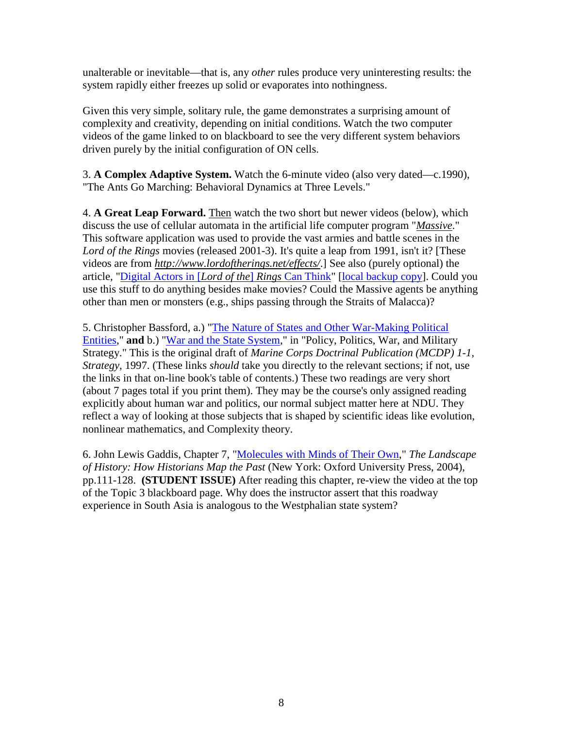unalterable or inevitable—that is, any *other* rules produce very uninteresting results: the system rapidly either freezes up solid or evaporates into nothingness.

Given this very simple, solitary rule, the game demonstrates a surprising amount of complexity and creativity, depending on initial conditions. Watch the two computer videos of the game linked to on blackboard to see the very different system behaviors driven purely by the initial configuration of ON cells.

3. **A Complex Adaptive System.** Watch the 6-minute video (also very dated—c.1990), "The Ants Go Marching: Behavioral Dynamics at Three Levels."

4. **A Great Leap Forward.** Then watch the two short but newer videos (below), which discuss the use of cellular automata in the artificial life computer program "*[Massive](http://www.massivesoftware.com/)*." This software application was used to provide the vast armies and battle scenes in the *Lord of the Rings* movies (released 2001-3). It's quite a leap from 1991, isn't it? [These videos are from *<http://www.lordoftherings.net/effects/>*.] See also (purely optional) the article, ["Digital Actors in \[](http://archive.wired.com/entertainment/music/news/2002/12/56778)*Lord of the*] *Rings* Can Think" [\[local backup copy\]](http://www.clausewitz.com/courses/6089R/pdf/Macavinta-DigitalActorsInRingsCanThink.pdf). Could you use this stuff to do anything besides make movies? Could the Massive agents be anything other than men or monsters (e.g., ships passing through the Straits of Malacca)?

5. Christopher Bassford, a.) ["The Nature of States and Other War-Making Political](http://www.clausewitz.com/readings/Bassford/StrategyDraft/index.htm#NatState)  [Entities,](http://www.clausewitz.com/readings/Bassford/StrategyDraft/index.htm#NatState)" **and** b.) ["War and the State System,](http://www.clausewitz.com/readings/Bassford/StrategyDraft/index.htm#StateSystem)" in "Policy, Politics, War, and Military Strategy." This is the original draft of *Marine Corps Doctrinal Publication (MCDP) 1-1, Strategy*, 1997. (These links *should* take you directly to the relevant sections; if not, use the links in that on-line book's table of contents.) These two readings are very short (about 7 pages total if you print them). They may be the course's only assigned reading explicitly about human war and politics, our normal subject matter here at NDU. They reflect a way of looking at those subjects that is shaped by scientific ideas like evolution, nonlinear mathematics, and Complexity theory.

6. John Lewis Gaddis, Chapter 7, ["Molecules with Minds of Their Own,](http://www.clausewitz.com/courses/6089R/pdf/Gaddis-Landscape-PrefaceCh7v2.pdf#zoom=100)" *The Landscape of History: How Historians Map the Past* (New York: Oxford University Press, 2004), pp.111-128. **(STUDENT ISSUE)** After reading this chapter, re-view the video at the top of the Topic 3 blackboard page. Why does the instructor assert that this roadway experience in South Asia is analogous to the Westphalian state system?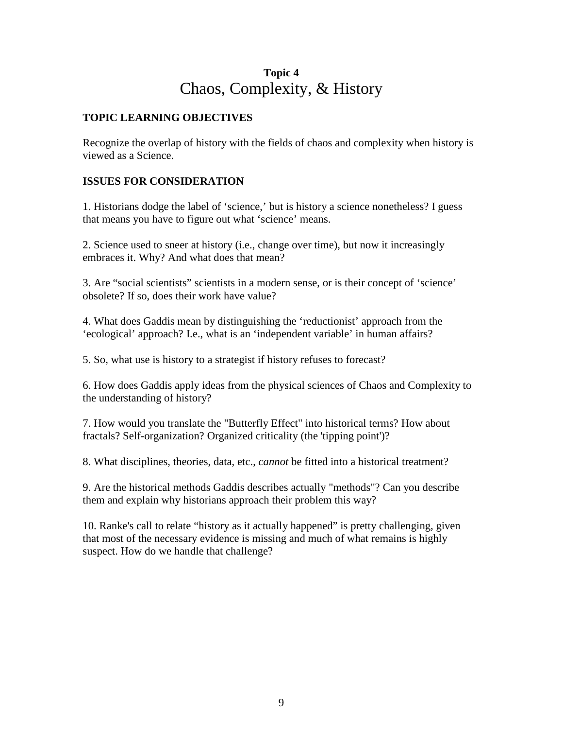# **Topic 4** Chaos, Complexity, & History

### **TOPIC LEARNING OBJECTIVES**

Recognize the overlap of history with the fields of chaos and complexity when history is viewed as a Science.

### **ISSUES FOR CONSIDERATION**

1. Historians dodge the label of 'science,' but is history a science nonetheless? I guess that means you have to figure out what 'science' means.

2. Science used to sneer at history (i.e., change over time), but now it increasingly embraces it. Why? And what does that mean?

3. Are "social scientists" scientists in a modern sense, or is their concept of 'science' obsolete? If so, does their work have value?

4. What does Gaddis mean by distinguishing the 'reductionist' approach from the 'ecological' approach? I.e., what is an 'independent variable' in human affairs?

5. So, what use is history to a strategist if history refuses to forecast?

6. How does Gaddis apply ideas from the physical sciences of Chaos and Complexity to the understanding of history?

7. How would you translate the "Butterfly Effect" into historical terms? How about fractals? Self-organization? Organized criticality (the 'tipping point')?

8. What disciplines, theories, data, etc., *cannot* be fitted into a historical treatment?

9. Are the historical methods Gaddis describes actually "methods"? Can you describe them and explain why historians approach their problem this way?

10. Ranke's call to relate "history as it actually happened" is pretty challenging, given that most of the necessary evidence is missing and much of what remains is highly suspect. How do we handle that challenge?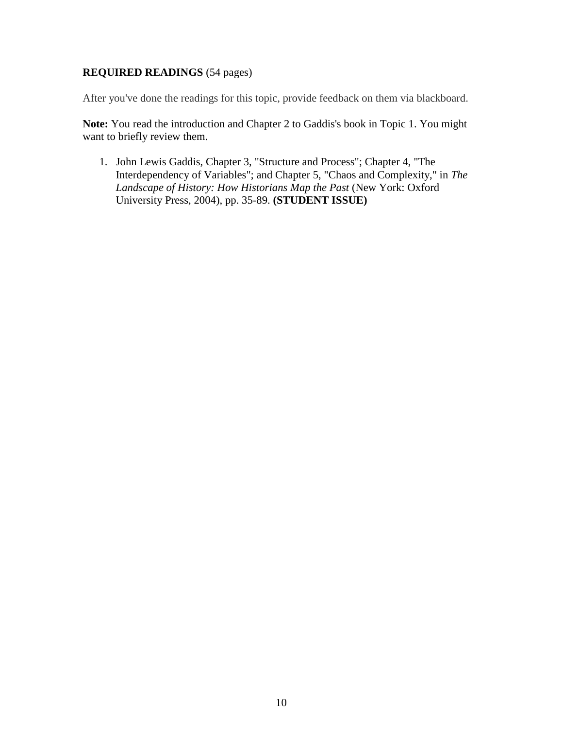### **REQUIRED READINGS** (54 pages)

After you've done the readings for this topic, provide feedback on them via blackboard.

**Note:** You read the introduction and Chapter 2 to Gaddis's book in Topic 1. You might want to briefly review them.

1. John Lewis Gaddis, Chapter 3, "Structure and Process"; Chapter 4, "The Interdependency of Variables"; and Chapter 5, "Chaos and Complexity," in *The Landscape of History: How Historians Map the Past* (New York: Oxford University Press, 2004), pp. 35-89. **(STUDENT ISSUE)**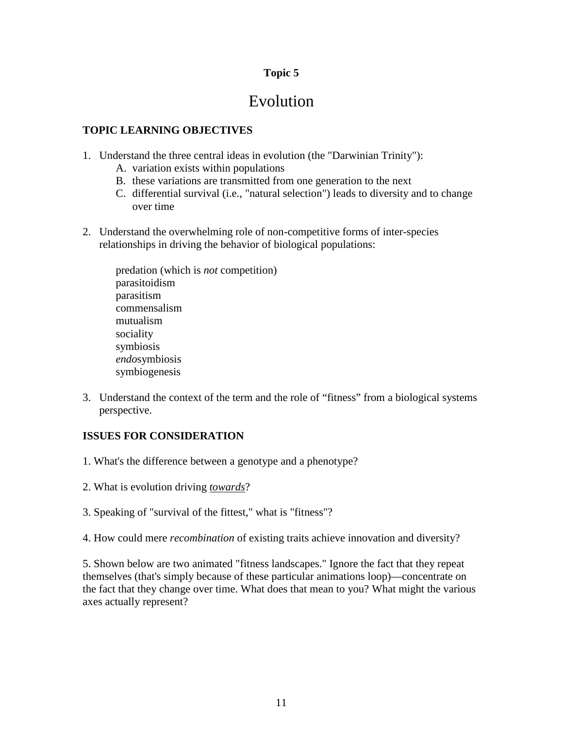# Evolution

### **TOPIC LEARNING OBJECTIVES**

- 1. Understand the three central ideas in evolution (the "Darwinian Trinity"):
	- A. variation exists within populations
	- B. these variations are transmitted from one generation to the next
	- C. differential survival (i.e., "natural selection") leads to diversity and to change over time
- 2. Understand the overwhelming role of non-competitive forms of inter-species relationships in driving the behavior of biological populations:

predation (which is *not* competition) parasitoidism parasitism commensalism mutualism sociality symbiosis *endo*symbiosis symbiogenesis

3. Understand the context of the term and the role of "fitness" from a biological systems perspective.

### **ISSUES FOR CONSIDERATION**

- 1. What's the difference between a genotype and a phenotype?
- 2. What is evolution driving *towards*?
- 3. Speaking of "survival of the fittest," what is "fitness"?
- 4. How could mere *recombination* of existing traits achieve innovation and diversity?

5. Shown below are two animated "fitness landscapes." Ignore the fact that they repeat themselves (that's simply because of these particular animations loop)—concentrate on the fact that they change over time. What does that mean to you? What might the various axes actually represent?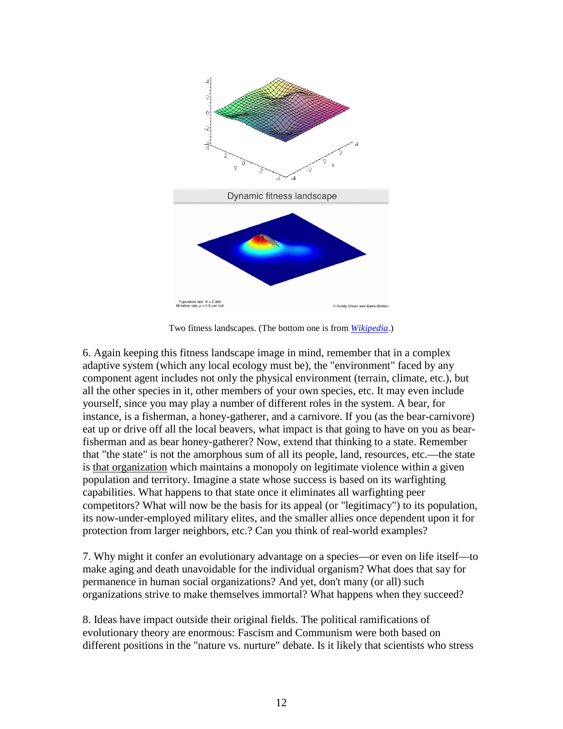

Two fitness landscapes. (The bottom one is from *[Wikipedia](https://en.wikipedia.org/wiki/Fitness_landscape)*.)

6. Again keeping this fitness landscape image in mind, remember that in a complex adaptive system (which any local ecology must be), the "environment" faced by any component agent includes not only the physical environment (terrain, climate, etc.), but all the other species in it, other members of your own species, etc. It may even include yourself, since you may play a number of different roles in the system. A bear, for instance, is a fisherman, a honey-gatherer, and a carnivore. If you (as the bear-carnivore) eat up or drive off all the local beavers, what impact is that going to have on you as bearfisherman and as bear honey-gatherer? Now, extend that thinking to a state. Remember that "the state" is not the amorphous sum of all its people, land, resources, etc.—the state is that organization which maintains a monopoly on legitimate violence within a given population and territory. Imagine a state whose success is based on its warfighting capabilities. What happens to that state once it eliminates all warfighting peer competitors? What will now be the basis for its appeal (or "legitimacy") to its population, its now-under-employed military elites, and the smaller allies once dependent upon it for protection from larger neighbors, etc.? Can you think of real-world examples?

7. Why might it confer an evolutionary advantage on a species—or even on life itself—to make aging and death unavoidable for the individual organism? What does that say for permanence in human social organizations? And yet, don't many (or all) such organizations strive to make themselves immortal? What happens when they succeed?

8. Ideas have impact outside their original fields. The political ramifications of evolutionary theory are enormous: Fascism and Communism were both based on different positions in the "nature vs. nurture" debate. Is it likely that scientists who stress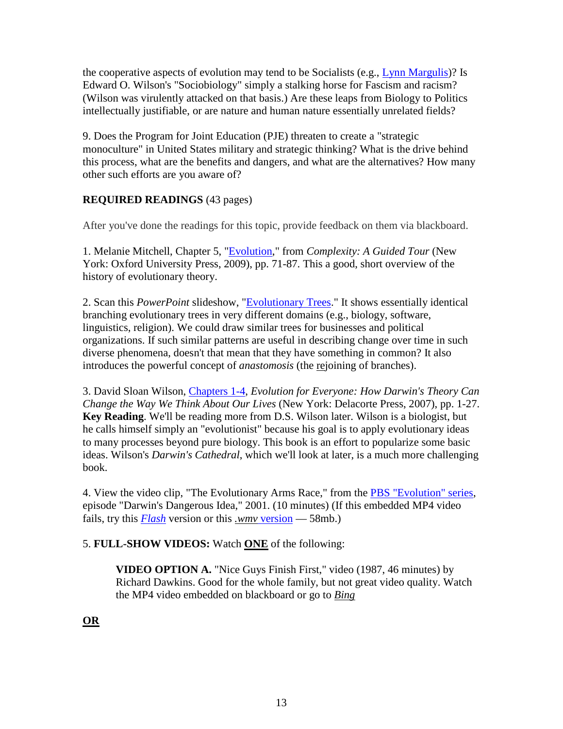the cooperative aspects of evolution may tend to be Socialists (e.g., [Lynn Margulis\)](http://en.wikipedia.org/wiki/Lynn_Margulis)? Is Edward O. Wilson's "Sociobiology" simply a stalking horse for Fascism and racism? (Wilson was virulently attacked on that basis.) Are these leaps from Biology to Politics intellectually justifiable, or are nature and human nature essentially unrelated fields?

9. Does the Program for Joint Education (PJE) threaten to create a "strategic monoculture" in United States military and strategic thinking? What is the drive behind this process, what are the benefits and dangers, and what are the alternatives? How many other such efforts are you aware of?

### **REQUIRED READINGS** (43 pages)

After you've done the readings for this topic, provide feedback on them via blackboard.

1. Melanie Mitchell, Chapter 5, ["Evolution,](http://www.clausewitz.com/courses/6089R/pdf/Mitchell-Ch5-EvolutionOCR.pdf#zoom=100)" from *Complexity: A Guided Tour* (New York: Oxford University Press, 2009), pp. 71-87. This a good, short overview of the history of evolutionary theory.

2. Scan this *PowerPoint* slideshow, ["Evolutionary Trees.](http://www.clausewitz.com/courses/6089R/ppt/Trees5.ppt)" It shows essentially identical branching evolutionary trees in very different domains (e.g., biology, software, linguistics, religion). We could draw similar trees for businesses and political organizations. If such similar patterns are useful in describing change over time in such diverse phenomena, doesn't that mean that they have something in common? It also introduces the powerful concept of *anastomosis* (the rejoining of branches).

3. David Sloan Wilson, [Chapters 1-4,](http://www.clausewitz.com/courses/6089R/pdf/WilsonDS-EvoForEverybody1-27ocr.pdf#zoom=110) *Evolution for Everyone: How Darwin's Theory Can Change the Way We Think About Our Lives* (New York: Delacorte Press, 2007), pp. 1-27. **Key Reading**. We'll be reading more from D.S. Wilson later. Wilson is a biologist, but he calls himself simply an "evolutionist" because his goal is to apply evolutionary ideas to many processes beyond pure biology. This book is an effort to popularize some basic ideas. Wilson's *Darwin's Cathedral*, which we'll look at later, is a much more challenging book.

4. View the video clip, "The Evolutionary Arms Race," from the [PBS "Evolution" series,](http://www.pbs.org/wgbh/evolution/darwin/index.html) episode "Darwin's Dangerous Idea," 2001. (10 minutes) (If this embedded MP4 video fails, try this *[Flash](http://www.clausewitz.com/Flash/FLVs/EvolutionaryArmsRace.htm)* version or this *.wmv* [version](http://www.clausewitz.com/video/EvolutionaryArmsRace.wmv) — 58mb.)

### 5. **FULL-SHOW VIDEOS:** Watch **ONE** of the following:

**VIDEO OPTION A.** "Nice Guys Finish First," video (1987, 46 minutes) by Richard Dawkins. Good for the whole family, but not great video quality. Watch the MP4 video embedded on blackboard or go to *[Bing](http://www.bing.com/videos/search?q=richard+dawkins+bbc+nice+guys+finish+first&&view=detail&mid=3F02A6CA1132604F414A3F02A6CA1132604F414A&FORM=VRDGAR)*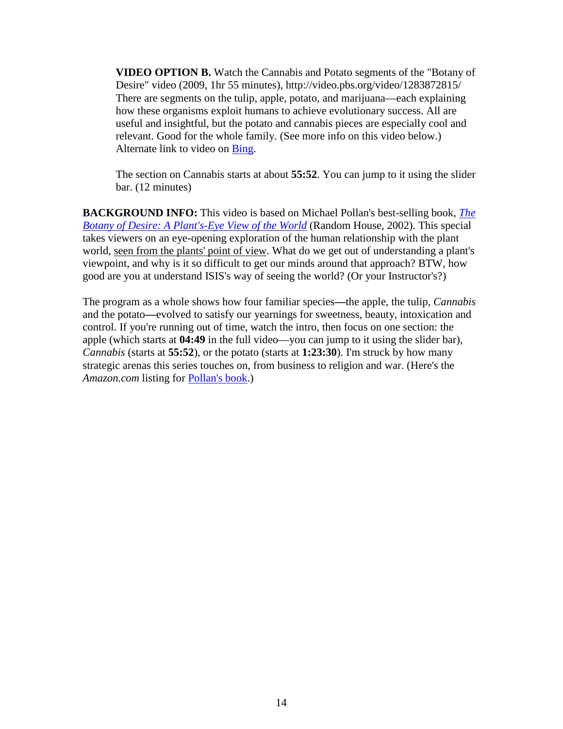**VIDEO OPTION B.** Watch the Cannabis and Potato segments of the "Botany of Desire" video (2009, 1hr 55 minutes), http://video.pbs.org/video/1283872815/ There are segments on the tulip, apple, potato, and marijuana—each explaining how these organisms exploit humans to achieve evolutionary success. All are useful and insightful, but the potato and cannabis pieces are especially cool and relevant. Good for the whole family. (See more info on this video below.) Alternate link to video on [Bing.](http://www.bing.com/videos/search?q=bbc+botany+of+desire&&view=detail&mid=C88DF87523CD180839E1C88DF87523CD180839E1&FORM=VRDGAR)

The section on Cannabis starts at about **55:52**. You can jump to it using the slider bar. (12 minutes)

**BACKGROUND INFO:** This video is based on Michael Pollan's best-selling book, *[The](http://www.amazon.com/gp/product/0375760393?ie=UTF8&camp=1789&creativeASIN=0375760393&linkCode=xm2&tag=theclausewitzhom)  [Botany of Desire: A Plant's-Eye View of the World](http://www.amazon.com/gp/product/0375760393?ie=UTF8&camp=1789&creativeASIN=0375760393&linkCode=xm2&tag=theclausewitzhom)* (Random House, 2002). This special takes viewers on an eye-opening exploration of the human relationship with the plant world, seen from the plants' point of view. What do we get out of understanding a plant's viewpoint, and why is it so difficult to get our minds around that approach? BTW, how good are you at understand ISIS's way of seeing the world? (Or your Instructor's?)

The program as a whole shows how four familiar species**—**the apple, the tulip, *Cannabis* and the potato**—**evolved to satisfy our yearnings for sweetness, beauty, intoxication and control. If you're running out of time, watch the intro, then focus on one section: the apple (which starts at **04:49** in the full video—you can jump to it using the slider bar), *Cannabis* (starts at **55:52**), or the potato (starts at **1:23:30**). I'm struck by how many strategic arenas this series touches on, from business to religion and war. (Here's the *Amazon.com* listing for [Pollan's book.](http://www.amazon.com/exec/obidos/ISBN=0375760393/theclausewitzhomA/))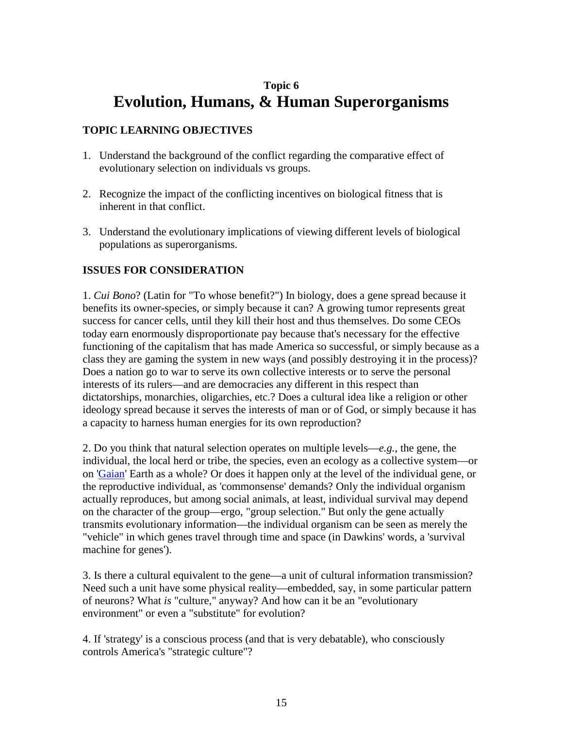# **Topic 6 Evolution, Humans, & Human Superorganisms**

### **TOPIC LEARNING OBJECTIVES**

- 1. Understand the background of the conflict regarding the comparative effect of evolutionary selection on individuals vs groups.
- 2. Recognize the impact of the conflicting incentives on biological fitness that is inherent in that conflict.
- 3. Understand the evolutionary implications of viewing different levels of biological populations as superorganisms.

### **ISSUES FOR CONSIDERATION**

1. *Cui Bono*? (Latin for "To whose benefit?") In biology, does a gene spread because it benefits its owner-species, or simply because it can? A growing tumor represents great success for cancer cells, until they kill their host and thus themselves. Do some CEOs today earn enormously disproportionate pay because that's necessary for the effective functioning of the capitalism that has made America so successful, or simply because as a class they are gaming the system in new ways (and possibly destroying it in the process)? Does a nation go to war to serve its own collective interests or to serve the personal interests of its rulers—and are democracies any different in this respect than dictatorships, monarchies, oligarchies, etc.? Does a cultural idea like a religion or other ideology spread because it serves the interests of man or of God, or simply because it has a capacity to harness human energies for its own reproduction?

2. Do you think that natural selection operates on multiple levels—*e.g.*, the gene, the individual, the local herd or tribe, the species, even an ecology as a collective system—or on ['Gaian'](https://en.wikipedia.org/wiki/Gaia_hypothesis) Earth as a whole? Or does it happen only at the level of the individual gene, or the reproductive individual, as 'commonsense' demands? Only the individual organism actually reproduces, but among social animals, at least, individual survival may depend on the character of the group—ergo, "group selection." But only the gene actually transmits evolutionary information—the individual organism can be seen as merely the "vehicle" in which genes travel through time and space (in Dawkins' words, a 'survival machine for genes').

3. Is there a cultural equivalent to the gene—a unit of cultural information transmission? Need such a unit have some physical reality—embedded, say, in some particular pattern of neurons? What *is* "culture," anyway? And how can it be an "evolutionary environment" or even a "substitute" for evolution?

4. If 'strategy' is a conscious process (and that is very debatable), who consciously controls America's "strategic culture"?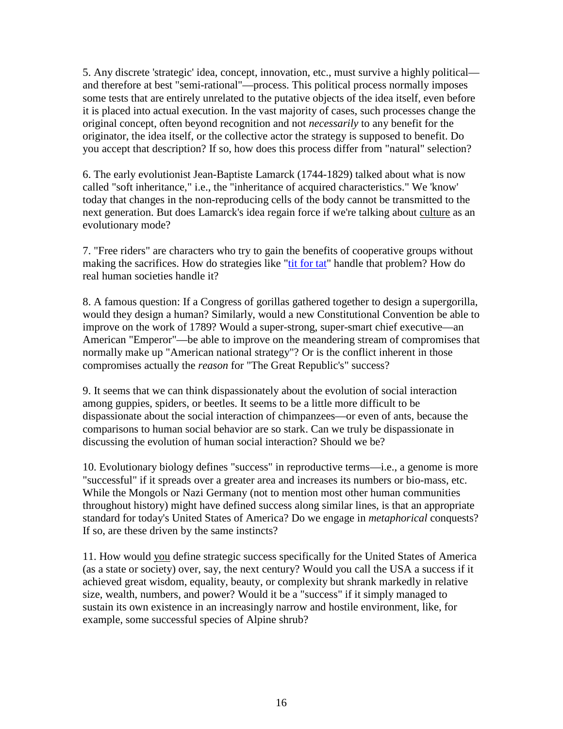5. Any discrete 'strategic' idea, concept, innovation, etc., must survive a highly political and therefore at best "semi-rational"—process. This political process normally imposes some tests that are entirely unrelated to the putative objects of the idea itself, even before it is placed into actual execution. In the vast majority of cases, such processes change the original concept, often beyond recognition and not *necessarily* to any benefit for the originator, the idea itself, or the collective actor the strategy is supposed to benefit. Do you accept that description? If so, how does this process differ from "natural" selection?

6. The early evolutionist Jean-Baptiste Lamarck (1744-1829) talked about what is now called "soft inheritance," i.e., the "inheritance of acquired characteristics." We 'know' today that changes in the non-reproducing cells of the body cannot be transmitted to the next generation. But does Lamarck's idea regain force if we're talking about culture as an evolutionary mode?

7. "Free riders" are characters who try to gain the benefits of cooperative groups without making the sacrifices. How do strategies like ["tit for tat"](http://en.wikipedia.org/wiki/Tit_for_tat) handle that problem? How do real human societies handle it?

8. A famous question: If a Congress of gorillas gathered together to design a supergorilla, would they design a human? Similarly, would a new Constitutional Convention be able to improve on the work of 1789? Would a super-strong, super-smart chief executive—an American "Emperor"—be able to improve on the meandering stream of compromises that normally make up "American national strategy"? Or is the conflict inherent in those compromises actually the *reason* for "The Great Republic's" success?

9. It seems that we can think dispassionately about the evolution of social interaction among guppies, spiders, or beetles. It seems to be a little more difficult to be dispassionate about the social interaction of chimpanzees—or even of ants, because the comparisons to human social behavior are so stark. Can we truly be dispassionate in discussing the evolution of human social interaction? Should we be?

10. Evolutionary biology defines "success" in reproductive terms—i.e., a genome is more "successful" if it spreads over a greater area and increases its numbers or bio-mass, etc. While the Mongols or Nazi Germany (not to mention most other human communities throughout history) might have defined success along similar lines, is that an appropriate standard for today's United States of America? Do we engage in *metaphorical* conquests? If so, are these driven by the same instincts?

11. How would you define strategic success specifically for the United States of America (as a state or society) over, say, the next century? Would you call the USA a success if it achieved great wisdom, equality, beauty, or complexity but shrank markedly in relative size, wealth, numbers, and power? Would it be a "success" if it simply managed to sustain its own existence in an increasingly narrow and hostile environment, like, for example, some successful species of Alpine shrub?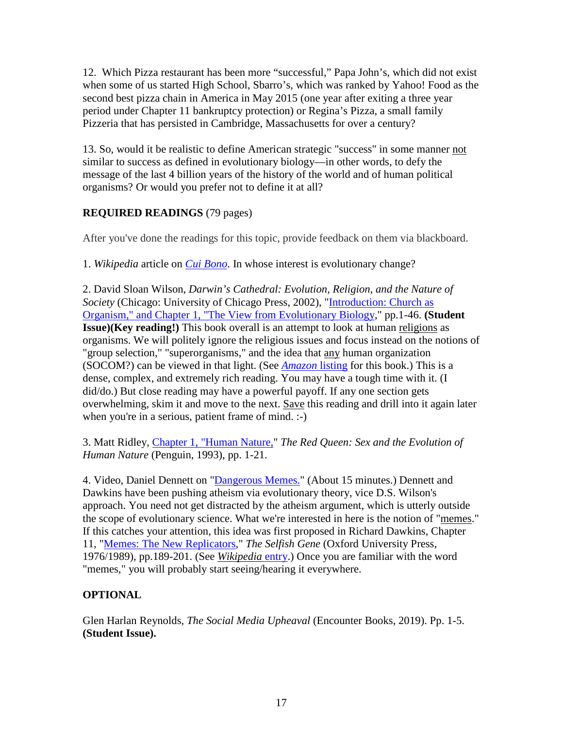12. Which Pizza restaurant has been more "successful," Papa John's, which did not exist when some of us started High School, Sbarro's, which was ranked by Yahoo! Food as the second best pizza chain in America in May 2015 (one year after exiting a three year period under Chapter 11 bankruptcy protection) or Regina's Pizza, a small family Pizzeria that has persisted in Cambridge, Massachusetts for over a century?

13. So, would it be realistic to define American strategic "success" in some manner not similar to success as defined in evolutionary biology—in other words, to defy the message of the last 4 billion years of the history of the world and of human political organisms? Or would you prefer not to define it at all?

# **REQUIRED READINGS** (79 pages)

After you've done the readings for this topic, provide feedback on them via blackboard.

1. *Wikipedia* article on *[Cui Bono](http://en.wikipedia.org/wiki/Cui_bono)*. In whose interest is evolutionary change?

2. David Sloan Wilson, *Darwin's Cathedral: Evolution, Religion, and the Nature of Society* (Chicago: University of Chicago Press, 2002), ["Introduction: Church as](http://www.clausewitz.com/courses/6089R/pdf/WilsonDS-DCath-IntroOCR.pdf#zoom=100)  [Organism," and Chapter 1, "The View from Evolutionary Biology,](http://www.clausewitz.com/courses/6089R/pdf/WilsonDS-DCath-IntroOCR.pdf#zoom=100)" pp.1-46. **(Student Issue)(Key reading!)** This book overall is an attempt to look at human religions as organisms. We will politely ignore the religious issues and focus instead on the notions of "group selection," "superorganisms," and the idea that any human organization (SOCOM?) can be viewed in that light. (See *[Amazon](http://www.amazon.com/exec/obidos/ASIN/0226901351/ref=ase_theclausewitzhomA/)* [listing](http://www.amazon.com/exec/obidos/ASIN/0226901351/ref=ase_theclausewitzhomA/) for this book.) This is a dense, complex, and extremely rich reading. You may have a tough time with it. (I did/do.) But close reading may have a powerful payoff. If any one section gets overwhelming, skim it and move to the next. Save this reading and drill into it again later when you're in a serious, patient frame of mind. :-)

3. Matt Ridley, [Chapter 1, "Human Nature,"](http://www.clausewitz.com/courses/6089R/pdf/Ridley-RedQueenOCR.pdf#zoom=125) *The Red Queen: Sex and the Evolution of Human Nature* (Penguin, 1993), pp. 1-21.

4. Video, Daniel Dennett on ["Dangerous Memes."](https://www.youtube.com/watch?v=KzGjEkp772s) (About 15 minutes.) Dennett and Dawkins have been pushing atheism via evolutionary theory, vice D.S. Wilson's approach. You need not get distracted by the atheism argument, which is utterly outside the scope of evolutionary science. What we're interested in here is the notion of "memes." If this catches your attention, this idea was first proposed in Richard Dawkins, Chapter 11, ["Memes: The New Replicators,](http://www.clausewitz.com/courses/6089R/pdf/Dawkins-MemesOCR.pdf#zoom=125)" *The Selfish Gene* (Oxford University Press, 1976/1989), pp.189-201. (See *[Wikipedia](https://en.wikipedia.org/wiki/Memes)* entry.) Once you are familiar with the word "memes," you will probably start seeing/hearing it everywhere.

# **OPTIONAL**

Glen Harlan Reynolds, *The Social Media Upheaval* (Encounter Books, 2019). Pp. 1-5. **(Student Issue).**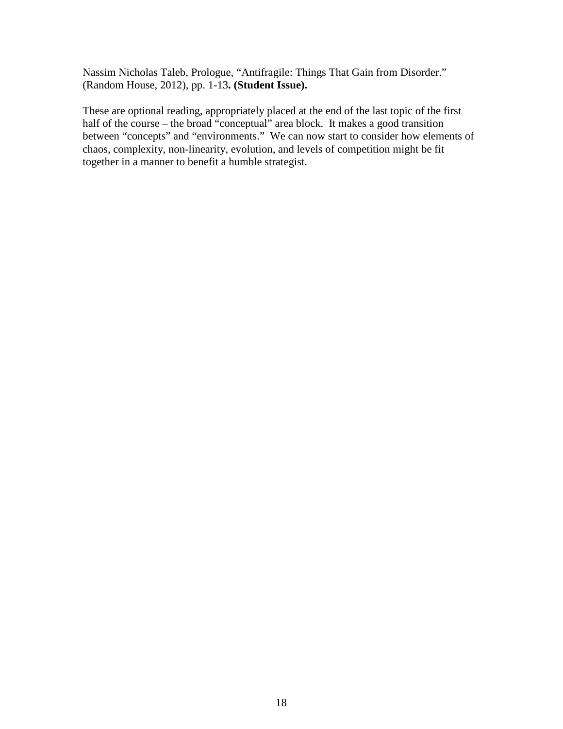Nassim Nicholas Taleb, Prologue, "Antifragile: Things That Gain from Disorder." (Random House, 2012), pp. 1-13**. (Student Issue).** 

These are optional reading, appropriately placed at the end of the last topic of the first half of the course – the broad "conceptual" area block. It makes a good transition between "concepts" and "environments." We can now start to consider how elements of chaos, complexity, non-linearity, evolution, and levels of competition might be fit together in a manner to benefit a humble strategist.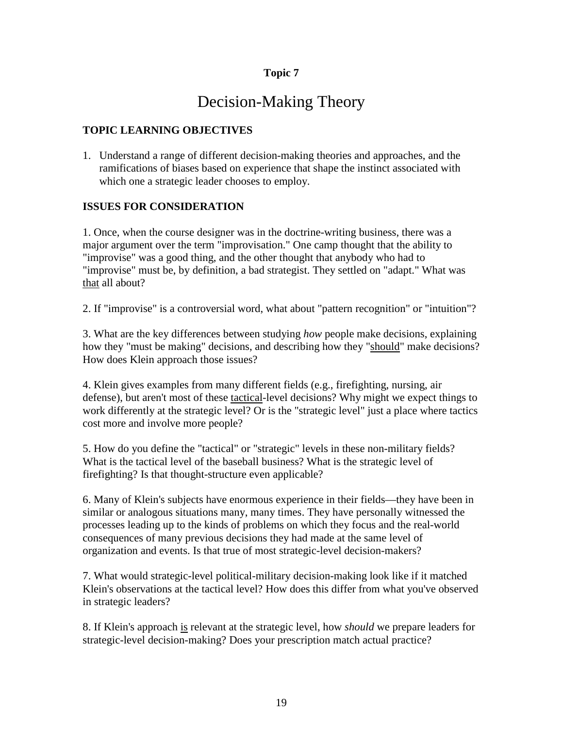# Decision-Making Theory

### **TOPIC LEARNING OBJECTIVES**

1. Understand a range of different decision-making theories and approaches, and the ramifications of biases based on experience that shape the instinct associated with which one a strategic leader chooses to employ.

### **ISSUES FOR CONSIDERATION**

1. Once, when the course designer was in the doctrine-writing business, there was a major argument over the term "improvisation." One camp thought that the ability to "improvise" was a good thing, and the other thought that anybody who had to "improvise" must be, by definition, a bad strategist. They settled on "adapt." What was that all about?

2. If "improvise" is a controversial word, what about "pattern recognition" or "intuition"?

3. What are the key differences between studying *how* people make decisions, explaining how they "must be making" decisions, and describing how they "should" make decisions? How does Klein approach those issues?

4. Klein gives examples from many different fields (e.g., firefighting, nursing, air defense), but aren't most of these tactical-level decisions? Why might we expect things to work differently at the strategic level? Or is the "strategic level" just a place where tactics cost more and involve more people?

5. How do you define the "tactical" or "strategic" levels in these non-military fields? What is the tactical level of the baseball business? What is the strategic level of firefighting? Is that thought-structure even applicable?

6. Many of Klein's subjects have enormous experience in their fields—they have been in similar or analogous situations many, many times. They have personally witnessed the processes leading up to the kinds of problems on which they focus and the real-world consequences of many previous decisions they had made at the same level of organization and events. Is that true of most strategic-level decision-makers?

7. What would strategic-level political-military decision-making look like if it matched Klein's observations at the tactical level? How does this differ from what you've observed in strategic leaders?

8. If Klein's approach is relevant at the strategic level, how *should* we prepare leaders for strategic-level decision-making? Does your prescription match actual practice?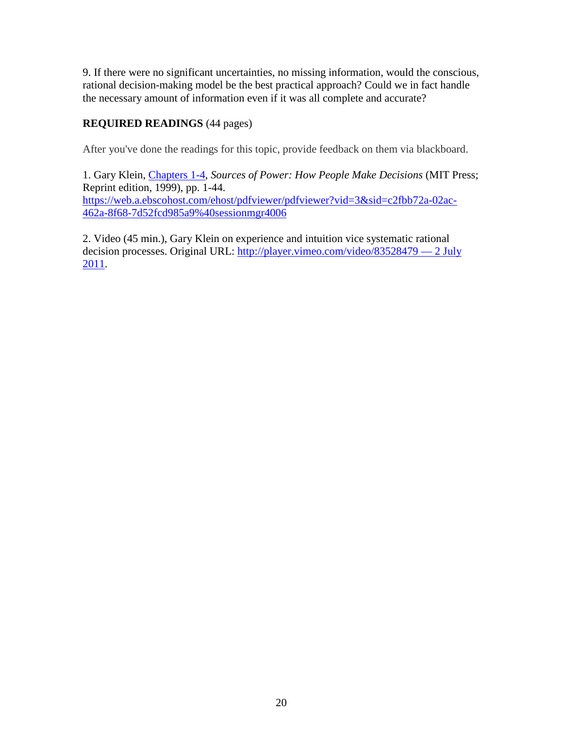9. If there were no significant uncertainties, no missing information, would the conscious, rational decision-making model be the best practical approach? Could we in fact handle the necessary amount of information even if it was all complete and accurate?

## **REQUIRED READINGS** (44 pages)

After you've done the readings for this topic, provide feedback on them via blackboard.

1. Gary Klein, [Chapters 1-4,](http://www.clausewitz.com/courses/6089R/pdf/Klein-SourcesChs1-4ocr.pdf#zoom=100) *Sources of Power: How People Make Decisions* (MIT Press; Reprint edition, 1999), pp. 1-44. [https://web.a.ebscohost.com/ehost/pdfviewer/pdfviewer?vid=3&sid=c2fbb72a-02ac-](https://web.a.ebscohost.com/ehost/pdfviewer/pdfviewer?vid=3&sid=c2fbb72a-02ac-462a-8f68-7d52fcd985a9%40sessionmgr4006)[462a-8f68-7d52fcd985a9%40sessionmgr4006](https://web.a.ebscohost.com/ehost/pdfviewer/pdfviewer?vid=3&sid=c2fbb72a-02ac-462a-8f68-7d52fcd985a9%40sessionmgr4006)

2. Video (45 min.), Gary Klein on experience and intuition vice systematic rational decision processes. Original URL: [http://player.vimeo.com/video/83528479 —](http://player.vimeo.com/video/83528479%20%E2%80%94%202%20July%202011) 2 July [2011.](http://player.vimeo.com/video/83528479%20%E2%80%94%202%20July%202011)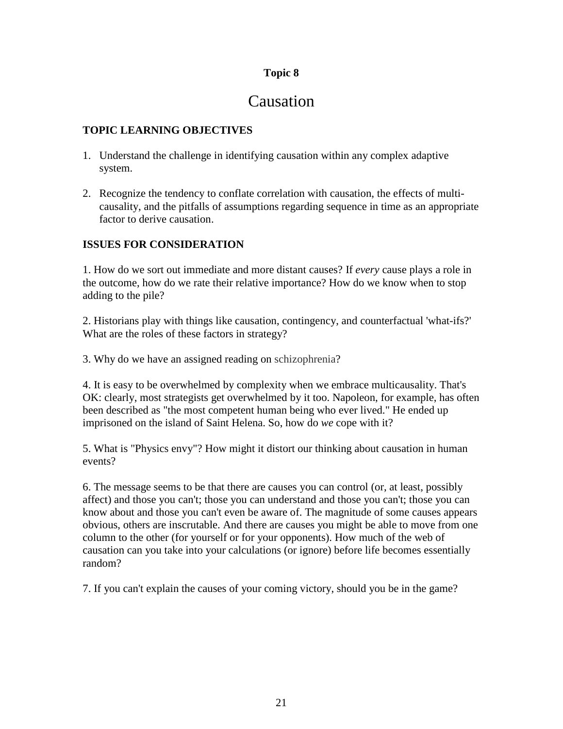# Causation

### **TOPIC LEARNING OBJECTIVES**

- 1. Understand the challenge in identifying causation within any complex adaptive system.
- 2. Recognize the tendency to conflate correlation with causation, the effects of multicausality, and the pitfalls of assumptions regarding sequence in time as an appropriate factor to derive causation.

### **ISSUES FOR CONSIDERATION**

1. How do we sort out immediate and more distant causes? If *every* cause plays a role in the outcome, how do we rate their relative importance? How do we know when to stop adding to the pile?

2. Historians play with things like causation, contingency, and counterfactual 'what-ifs?' What are the roles of these factors in strategy?

3. Why do we have an assigned reading on schizophrenia?

4. It is easy to be overwhelmed by complexity when we embrace multicausality. That's OK: clearly, most strategists get overwhelmed by it too. Napoleon, for example, has often been described as "the most competent human being who ever lived." He ended up imprisoned on the island of Saint Helena. So, how do *we* cope with it?

5. What is "Physics envy"? How might it distort our thinking about causation in human events?

6. The message seems to be that there are causes you can control (or, at least, possibly affect) and those you can't; those you can understand and those you can't; those you can know about and those you can't even be aware of. The magnitude of some causes appears obvious, others are inscrutable. And there are causes you might be able to move from one column to the other (for yourself or for your opponents). How much of the web of causation can you take into your calculations (or ignore) before life becomes essentially random?

7. If you can't explain the causes of your coming victory, should you be in the game?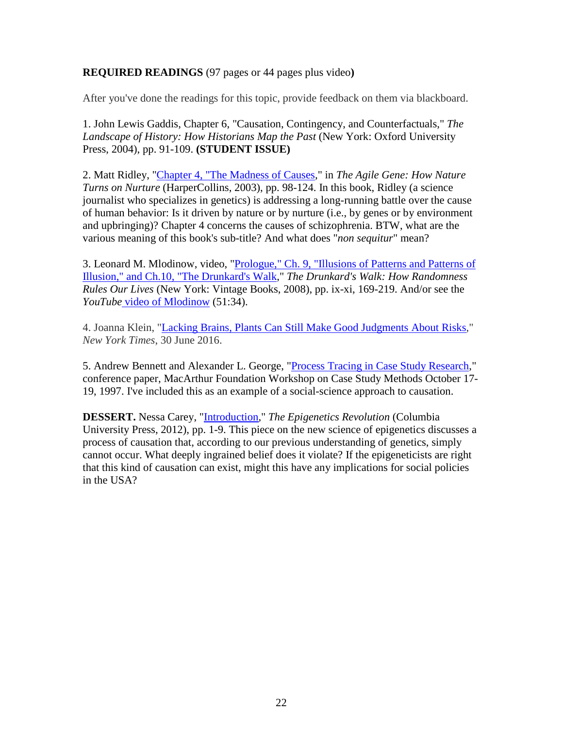### **REQUIRED READINGS** (97 pages or 44 pages plus video**)**

After you've done the readings for this topic, provide feedback on them via blackboard.

1. John Lewis Gaddis, Chapter 6, "Causation, Contingency, and Counterfactuals," *The Landscape of History: How Historians Map the Past* (New York: Oxford University Press, 2004), pp. 91-109. **(STUDENT ISSUE)**

2. Matt Ridley, ["Chapter 4, "The Madness of Causes,](http://www.clausewitz.com/courses/6089R/pdf/Ridley-TheMadnessOfCauses.pdf#zoom=125)" in *The Agile Gene: How Nature Turns on Nurture* (HarperCollins, 2003), pp. 98-124. In this book, Ridley (a science journalist who specializes in genetics) is addressing a long-running battle over the cause of human behavior: Is it driven by nature or by nurture (i.e., by genes or by environment and upbringing)? Chapter 4 concerns the causes of schizophrenia. BTW, what are the various meaning of this book's sub-title? And what does "*non sequitur*" mean?

3. Leonard M. Mlodinow, video, ["Prologue," Ch. 9, "Illusions of Patterns and Patterns of](http://www.clausewitz.com/courses/6089R/pdf/Mlodinow-DrunkardsWalk-Ch9-10v3ocrCR3.pdf#zoom=125)  [Illusion," and Ch.10, "The Drunkard's Walk,](http://www.clausewitz.com/courses/6089R/pdf/Mlodinow-DrunkardsWalk-Ch9-10v3ocrCR3.pdf#zoom=125)" *The Drunkard's Walk: How Randomness Rules Our Lives* (New York: Vintage Books, 2008), pp. ix-xi, 169-219. And/or see the *YouTube* [video of Mlodinow](https://www.youtube.com/watch?v=F0sLuRsu1Do) (51:34).

4. Joanna Klein, ["Lacking Brains, Plants Can Still Make Good Judgments About Risks,](http://nyti.ms/295P110)" *New York Times*, 30 June 2016.

5. Andrew Bennett and Alexander L. George, ["Process Tracing in Case Study Research,](http://www.clausewitz.com/courses/6089R/pdf/BennettGeorge-ProcessTracingInCaseStudyResearchV2.pdf)" conference paper, MacArthur Foundation Workshop on Case Study Methods October 17- 19, 1997. I've included this as an example of a social-science approach to causation.

**DESSERT.** Nessa Carey, ["Introduction,](http://www.clausewitz.com/courses/6089R/pdf/Carey-Epigenetics-Intro-pp1-9.pdf)" *The Epigenetics Revolution* (Columbia University Press, 2012), pp. 1-9. This piece on the new science of epigenetics discusses a process of causation that, according to our previous understanding of genetics, simply cannot occur. What deeply ingrained belief does it violate? If the epigeneticists are right that this kind of causation can exist, might this have any implications for social policies in the USA?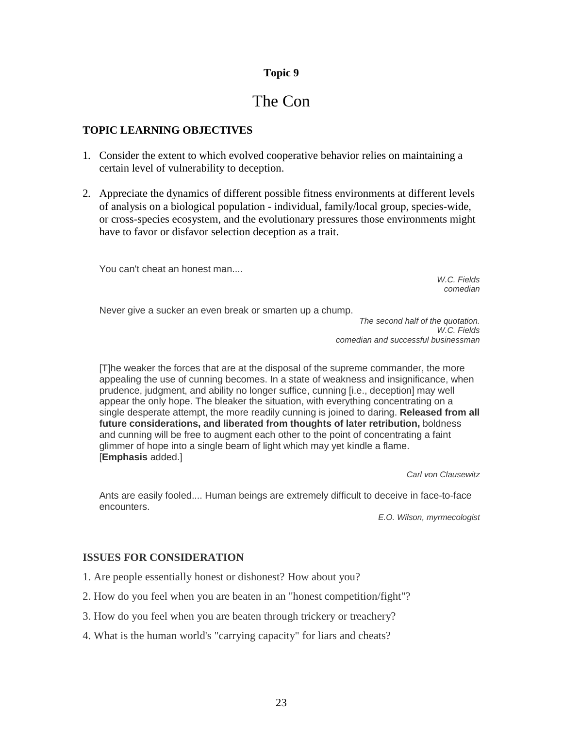# The Con

### **TOPIC LEARNING OBJECTIVES**

- 1. Consider the extent to which evolved cooperative behavior relies on maintaining a certain level of vulnerability to deception.
- 2. Appreciate the dynamics of different possible fitness environments at different levels of analysis on a biological population - individual, family/local group, species-wide, or cross-species ecosystem, and the evolutionary pressures those environments might have to favor or disfavor selection deception as a trait.

You can't cheat an honest man....

*W.C. Fields comedian*

Never give a sucker an even break or smarten up a chump.

*The second half of the quotation. W.C. Fields comedian and successful businessman*

[T]he weaker the forces that are at the disposal of the supreme commander, the more appealing the use of cunning becomes. In a state of weakness and insignificance, when prudence, judgment, and ability no longer suffice, cunning [i.e., deception] may well appear the only hope. The bleaker the situation, with everything concentrating on a single desperate attempt, the more readily cunning is joined to daring. **Released from all future considerations, and liberated from thoughts of later retribution,** boldness and cunning will be free to augment each other to the point of concentrating a faint glimmer of hope into a single beam of light which may yet kindle a flame. [**Emphasis** added.]

*Carl von Clausewitz*

Ants are easily fooled.... Human beings are extremely difficult to deceive in face-to-face encounters.

*E.O. Wilson, myrmecologist*

### **ISSUES FOR CONSIDERATION**

- 1. Are people essentially honest or dishonest? How about you?
- 2. How do you feel when you are beaten in an "honest competition/fight"?
- 3. How do you feel when you are beaten through trickery or treachery?
- 4. What is the human world's "carrying capacity" for liars and cheats?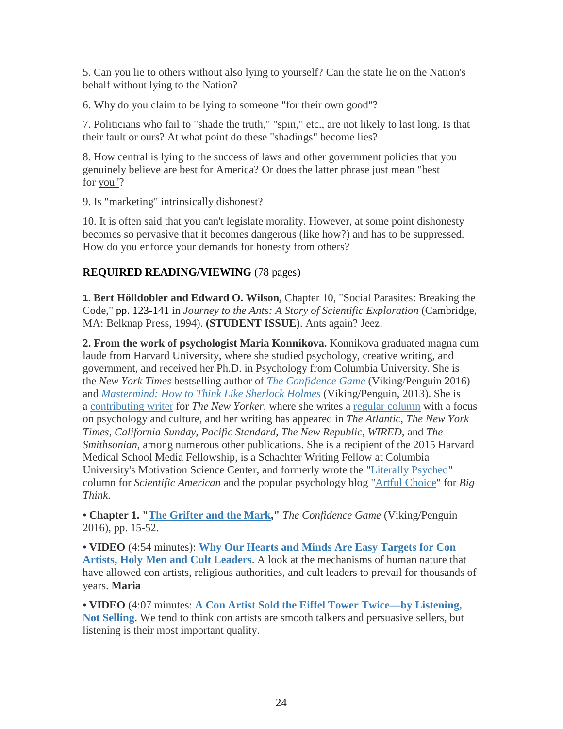5. Can you lie to others without also lying to yourself? Can the state lie on the Nation's behalf without lying to the Nation?

6. Why do you claim to be lying to someone "for their own good"?

7. Politicians who fail to "shade the truth," "spin," etc., are not likely to last long. Is that their fault or ours? At what point do these "shadings" become lies?

8. How central is lying to the success of laws and other government policies that you genuinely believe are best for America? Or does the latter phrase just mean "best for you"?

9. Is "marketing" intrinsically dishonest?

10. It is often said that you can't legislate morality. However, at some point dishonesty becomes so pervasive that it becomes dangerous (like how?) and has to be suppressed. How do you enforce your demands for honesty from others?

### **REQUIRED READING/VIEWING** (78 pages)

**1. Bert Hölldobler and Edward O. Wilson,** Chapter 10, "Social Parasites: Breaking the Code," pp. [123-141](http://www.clausewitz.com/courses/6948m-AY20F/pdf/WilsonHolldobler-Ants--CH10parasites-ocr.pdf#zoom=100) in *Journey to the Ants: A Story of Scientific Exploration* (Cambridge, MA: Belknap Press, 1994). **(STUDENT ISSUE)**. Ants again? Jeez.

**2. From the work of psychologist Maria Konnikova.** Konnikova graduated magna cum laude from Harvard University, where she studied psychology, creative writing, and government, and received her Ph.D. in Psychology from Columbia University. She is the *New York Times* bestselling author of *[The Confidence Game](https://www.amazon.com/gp/product/0525427414/)* (Viking/Penguin 2016) and *[Mastermind: How to Think Like Sherlock Holmes](https://www.amazon.com/Mastermind-Think-Like-Sherlock-Holmes/dp/0670026573)* (Viking/Penguin, 2013). She is a [contributing writer](https://www.newyorker.com/contributors/maria-konnikova) for *The New Yorker*, where she writes a [regular column](https://www.newyorker.com/science/maria-konnikova) with a focus on psychology and culture, and her writing has appeared in *The Atlantic, The New York Times, California Sunday, Pacific Standard, The New Republic, WIRED,* and *The Smithsonian*, among numerous other publications. She is a recipient of the 2015 Harvard Medical School Media Fellowship, is a Schachter Writing Fellow at Columbia University's Motivation Science Center, and formerly wrote the ["Literally Psyched"](http://blogs.scientificamerican.com/literally-psyched/) column for *Scientific American* and the popular psychology blog ["Artful Choice"](http://bigthink.com/blogs/artful-choice) for *Big Think*.

**• Chapter 1. ["The Grifter and the Mark,](http://www.clausewitz.com/courses/6948m-AY20F/pdf/Konnikova-Ch1-TheGrifterAndTheMark.pdf#zoom=100)"** *The Confidence Game* (Viking/Penguin 2016), pp. 15-52.

**• VIDEO** (4:54 minutes): **[Why Our Hearts and Minds Are Easy Targets for Con](https://bigthink.com/videos/maria-konnikova-on-cons-and-cults)  [Artists, Holy Men and Cult Leaders](https://bigthink.com/videos/maria-konnikova-on-cons-and-cults)**. A look at the mechanisms of human nature that have allowed con artists, religious authorities, and cult leaders to prevail for thousands of years. **Maria**

**• VIDEO** (4:07 minutes: **[A Con Artist Sold the Eiffel Tower Twice—by Listening,](https://bigthink.com/videos/maria-konnikova-on-the-con-artist-as-listener)  [Not Selling](https://bigthink.com/videos/maria-konnikova-on-the-con-artist-as-listener)**. We tend to think con artists are smooth talkers and persuasive sellers, but listening is their most important quality.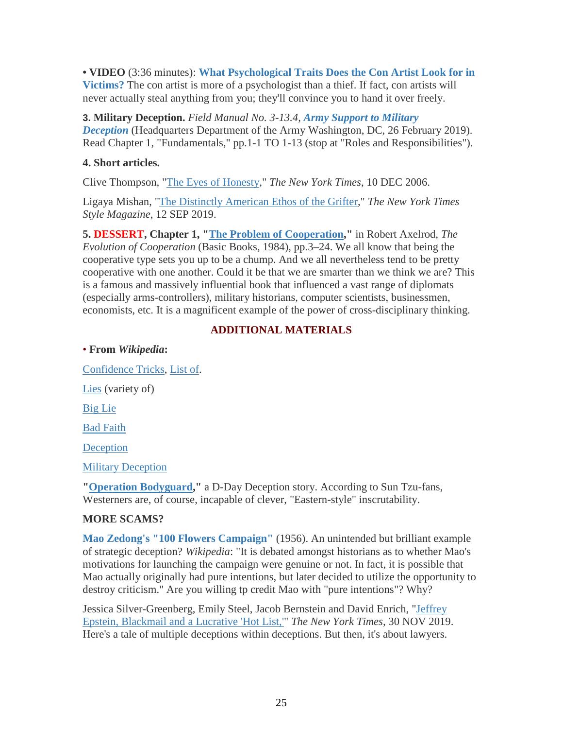**• VIDEO** (3:36 minutes): **[What Psychological Traits Does the Con Artist Look for in](https://bigthink.com/videos/maria-konnikova-your-gullibility-is-the-con-artists-best-friend)  [Victims?](https://bigthink.com/videos/maria-konnikova-your-gullibility-is-the-con-artists-best-friend)** The con artist is more of a psychologist than a thief. If fact, con artists will never actually steal anything from you; they'll convince you to hand it over freely.

**3. Military Deception.** *Field Manual No. 3-13.4, [Army Support to Military](http://www.clausewitz.com/courses/6948m-AY20F/pdf/fm3-13-4.pdf#zoom=100)  [Deception](http://www.clausewitz.com/courses/6948m-AY20F/pdf/fm3-13-4.pdf#zoom=100)* (Headquarters Department of the Army Washington, DC, 26 February 2019). Read Chapter 1, "Fundamentals," pp.1-1 TO 1-13 (stop at "Roles and Responsibilities").

### **4. Short articles.**

Clive Thompson, ["The Eyes of Honesty,](https://www.nytimes.com/2006/12/10/magazine/10section1C.t-3.html)" *The New York Times*, 10 DEC 2006.

Ligaya Mishan, ["The Distinctly American Ethos of the Grifter,](https://nyti.ms/32CBf1v)" *The New York Times Style Magazine*, 12 SEP 2019.

**5. DESSERT, Chapter 1, ["The Problem of Cooperation,](http://www.clausewitz.com/courses/6948m-AY20F/pdf/Axelrod-CooperationCh1.pdf)"** in Robert Axelrod, *The Evolution of Cooperation* (Basic Books, 1984), pp.3–24. We all know that being the cooperative type sets you up to be a chump. And we all nevertheless tend to be pretty cooperative with one another. Could it be that we are smarter than we think we are? This is a famous and massively influential book that influenced a vast range of diplomats (especially arms-controllers), military historians, computer scientists, businessmen, economists, etc. It is a magnificent example of the power of cross-disciplinary thinking.

# **ADDITIONAL MATERIALS**

• **From** *Wikipedia***:**

[Confidence Tricks,](https://en.wikipedia.org/wiki/Confidence_trick) [List of.](https://en.wikipedia.org/wiki/List_of_confidence_tricks) [Lies](https://en.wikipedia.org/wiki/Lie) (variety of) [Big Lie](https://en.wikipedia.org/wiki/Big_lie) [Bad Faith](https://en.wikipedia.org/wiki/Bad_faith)

**[Deception](https://en.wikipedia.org/wiki/Deception)** 

[Military Deception](https://en.wikipedia.org/wiki/Military_deception)

**["Operation Bodyguard,](https://en.wikipedia.org/wiki/Operation_Bodyguard)"** a D-Day Deception story. According to Sun Tzu-fans, Westerners are, of course, incapable of clever, "Eastern-style" inscrutability.

# **MORE SCAMS?**

**[Mao Zedong's "100 Flowers Campaign"](https://en.wikipedia.org/wiki/Hundred_Flowers_Campaign)** (1956). An unintended but brilliant example of strategic deception? *Wikipedia*: "It is debated amongst historians as to whether Mao's motivations for launching the campaign were genuine or not. In fact, it is possible that Mao actually originally had pure intentions, but later decided to utilize the opportunity to destroy criticism." Are you willing tp credit Mao with "pure intentions"? Why?

Jessica Silver-Greenberg, Emily Steel, Jacob Bernstein and David Enrich, ["Jeffrey](https://nyti.ms/2YbajVT)  [Epstein, Blackmail and a Lucrative 'Hot List,'"](https://nyti.ms/2YbajVT) *The New York Times*, 30 NOV 2019. Here's a tale of multiple deceptions within deceptions. But then, it's about lawyers.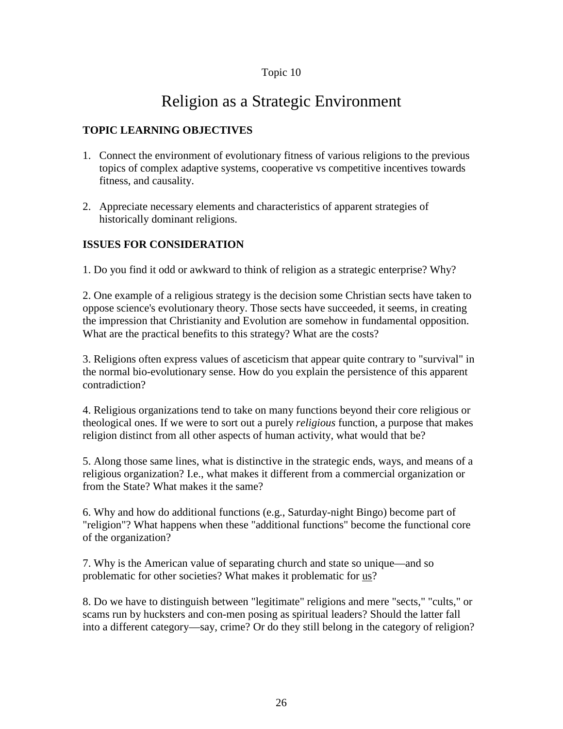# Religion as a Strategic Environment

## **TOPIC LEARNING OBJECTIVES**

- 1. Connect the environment of evolutionary fitness of various religions to the previous topics of complex adaptive systems, cooperative vs competitive incentives towards fitness, and causality.
- 2. Appreciate necessary elements and characteristics of apparent strategies of historically dominant religions.

### **ISSUES FOR CONSIDERATION**

1. Do you find it odd or awkward to think of religion as a strategic enterprise? Why?

2. One example of a religious strategy is the decision some Christian sects have taken to oppose science's evolutionary theory. Those sects have succeeded, it seems, in creating the impression that Christianity and Evolution are somehow in fundamental opposition. What are the practical benefits to this strategy? What are the costs?

3. Religions often express values of asceticism that appear quite contrary to "survival" in the normal bio-evolutionary sense. How do you explain the persistence of this apparent contradiction?

4. Religious organizations tend to take on many functions beyond their core religious or theological ones. If we were to sort out a purely *religious* function, a purpose that makes religion distinct from all other aspects of human activity, what would that be?

5. Along those same lines, what is distinctive in the strategic ends, ways, and means of a religious organization? I.e., what makes it different from a commercial organization or from the State? What makes it the same?

6. Why and how do additional functions (e.g., Saturday-night Bingo) become part of "religion"? What happens when these "additional functions" become the functional core of the organization?

7. Why is the American value of separating church and state so unique—and so problematic for other societies? What makes it problematic for <u>us</u>?

8. Do we have to distinguish between "legitimate" religions and mere "sects," "cults," or scams run by hucksters and con-men posing as spiritual leaders? Should the latter fall into a different category—say, crime? Or do they still belong in the category of religion?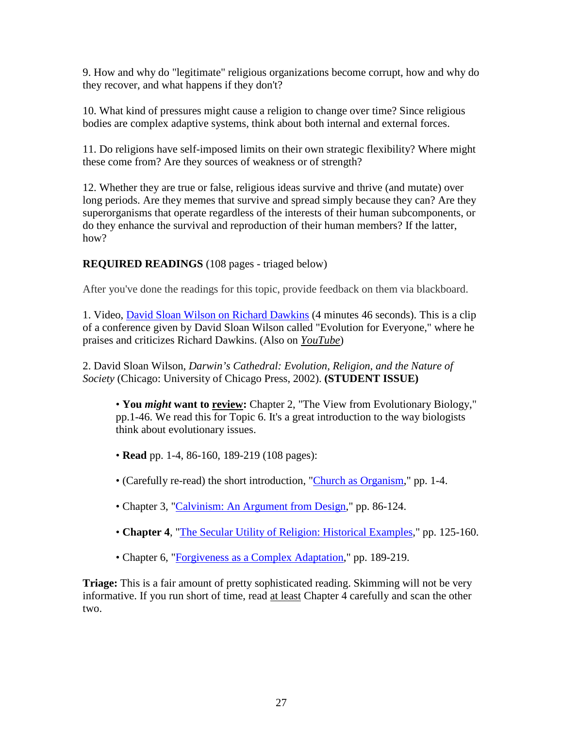9. How and why do "legitimate" religious organizations become corrupt, how and why do they recover, and what happens if they don't?

10. What kind of pressures might cause a religion to change over time? Since religious bodies are complex adaptive systems, think about both internal and external forces.

11. Do religions have self-imposed limits on their own strategic flexibility? Where might these come from? Are they sources of weakness or of strength?

12. Whether they are true or false, religious ideas survive and thrive (and mutate) over long periods. Are they memes that survive and spread simply because they can? Are they superorganisms that operate regardless of the interests of their human subcomponents, or do they enhance the survival and reproduction of their human members? If the latter, how?

# **REQUIRED READINGS** (108 pages - triaged below)

After you've done the readings for this topic, provide feedback on them via blackboard.

1. Video, [David Sloan Wilson on Richard Dawkins](http://www.clausewitz.com/MP4/DavidSloanWilson-OnRichardDawkins.mp4) (4 minutes 46 seconds). This is a clip of a conference given by David Sloan Wilson called "Evolution for Everyone," where he praises and criticizes Richard Dawkins. (Also on *[YouTube](https://www.youtube.com/watch?v=mHc5nWLP7HY)*)

2. David Sloan Wilson, *Darwin's Cathedral: Evolution, Religion, and the Nature of Society* (Chicago: University of Chicago Press, 2002). **(STUDENT ISSUE)**

• You *might* want to **review:** Chapter 2, "The View from Evolutionary Biology," pp.1-46. We read this for Topic 6. It's a great introduction to the way biologists think about evolutionary issues.

- **Read** pp. 1-4, 86-160, 189-219 (108 pages):
- (Carefully re-read) the short introduction, ["Church as Organism,](http://www.clausewitz.com/courses/6089R/pdf/WilsonDS-ChurchAsOrganism.pdf#zoom=110)" pp. 1-4.
- Chapter 3, ["Calvinism: An Argument from Design,](http://www.clausewitz.com/courses/6089R/pdf/WilsonDS-DCath-Ch3ocr.pdf#zoom=110)" pp. 86-124.
- **Chapter 4**, ["The Secular Utility of Religion: Historical Examples,](http://www.clausewitz.com/courses/6089R/pdf/WilsonDS-DCath-Ch4ocr.pdf#zoom=110)" pp. 125-160.
- Chapter 6, ["Forgiveness as a Complex Adaptation,](http://www.clausewitz.com/courses/6089R/pdf/WilsonDS-DCath-Ch6ocr.pdf#zoom=110)" pp. 189-219.

**Triage:** This is a fair amount of pretty sophisticated reading. Skimming will not be very informative. If you run short of time, read at least Chapter 4 carefully and scan the other two.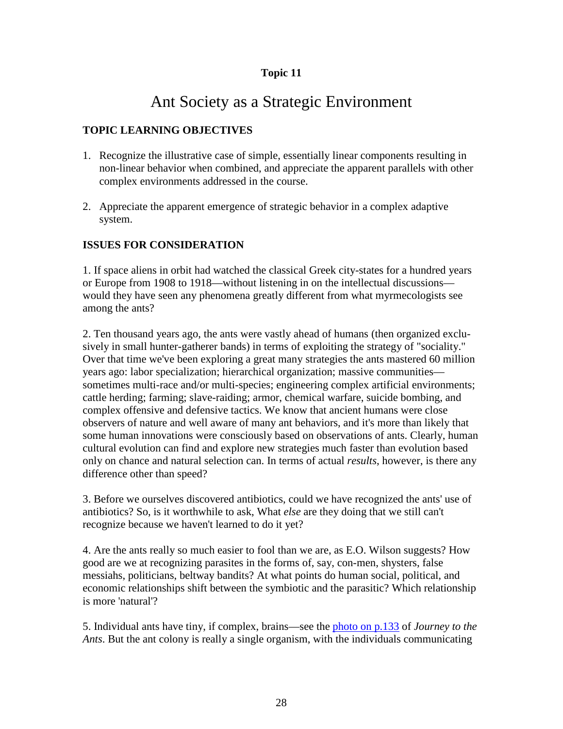# Ant Society as a Strategic Environment

# **TOPIC LEARNING OBJECTIVES**

- 1. Recognize the illustrative case of simple, essentially linear components resulting in non-linear behavior when combined, and appreciate the apparent parallels with other complex environments addressed in the course.
- 2. Appreciate the apparent emergence of strategic behavior in a complex adaptive system.

### **ISSUES FOR CONSIDERATION**

1. If space aliens in orbit had watched the classical Greek city-states for a hundred years or Europe from 1908 to 1918—without listening in on the intellectual discussions would they have seen any phenomena greatly different from what myrmecologists see among the ants?

2. Ten thousand years ago, the ants were vastly ahead of humans (then organized exclusively in small hunter-gatherer bands) in terms of exploiting the strategy of "sociality." Over that time we've been exploring a great many strategies the ants mastered 60 million years ago: labor specialization; hierarchical organization; massive communities sometimes multi-race and/or multi-species; engineering complex artificial environments; cattle herding; farming; slave-raiding; armor, chemical warfare, suicide bombing, and complex offensive and defensive tactics. We know that ancient humans were close observers of nature and well aware of many ant behaviors, and it's more than likely that some human innovations were consciously based on observations of ants. Clearly, human cultural evolution can find and explore new strategies much faster than evolution based only on chance and natural selection can. In terms of actual *results*, however, is there any difference other than speed?

3. Before we ourselves discovered antibiotics, could we have recognized the ants' use of antibiotics? So, is it worthwhile to ask, What *else* are they doing that we still can't recognize because we haven't learned to do it yet?

4. Are the ants really so much easier to fool than we are, as E.O. Wilson suggests? How good are we at recognizing parasites in the forms of, say, con-men, shysters, false messiahs, politicians, beltway bandits? At what points do human social, political, and economic relationships shift between the symbiotic and the parasitic? Which relationship is more 'natural'?

5. Individual ants have tiny, if complex, brains—see the [photo on p.133](http://www.clausewitz.com/courses/6089R/antbrain.htm) of *Journey to the Ants*. But the ant colony is really a single organism, with the individuals communicating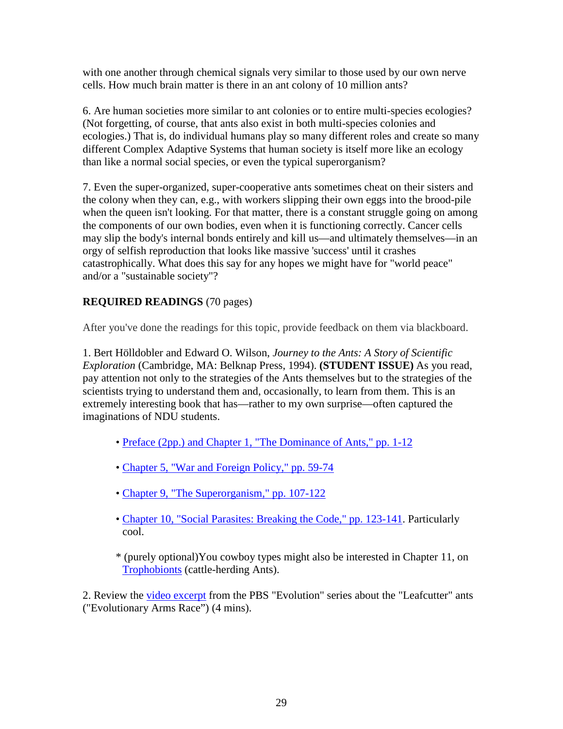with one another through chemical signals very similar to those used by our own nerve cells. How much brain matter is there in an ant colony of 10 million ants?

6. Are human societies more similar to ant colonies or to entire multi-species ecologies? (Not forgetting, of course, that ants also exist in both multi-species colonies and ecologies.) That is, do individual humans play so many different roles and create so many different Complex Adaptive Systems that human society is itself more like an ecology than like a normal social species, or even the typical superorganism?

7. Even the super-organized, super-cooperative ants sometimes cheat on their sisters and the colony when they can, e.g., with workers slipping their own eggs into the brood-pile when the queen isn't looking. For that matter, there is a constant struggle going on among the components of our own bodies, even when it is functioning correctly. Cancer cells may slip the body's internal bonds entirely and kill us—and ultimately themselves—in an orgy of selfish reproduction that looks like massive 'success' until it crashes catastrophically. What does this say for any hopes we might have for "world peace" and/or a "sustainable society"?

# **REQUIRED READINGS** (70 pages)

After you've done the readings for this topic, provide feedback on them via blackboard.

1. Bert Hölldobler and Edward O. Wilson, *Journey to the Ants: A Story of Scientific Exploration* (Cambridge, MA: Belknap Press, 1994). **(STUDENT ISSUE)** As you read, pay attention not only to the strategies of the Ants themselves but to the strategies of the scientists trying to understand them and, occasionally, to learn from them. This is an extremely interesting book that has—rather to my own surprise—often captured the imaginations of NDU students.

- • [Preface \(2pp.\) and Chapter 1, "The Dominance of Ants," pp.](http://www.clausewitz.com/courses/6089R/pdf/WilsonHolldobler-Ants-PrefaceCH1ocr.pdf#zoom=100) 1-12
- • [Chapter 5, "War and Foreign Policy," pp.](http://www.clausewitz.com/courses/6089R/pdf/WilsonHolldobler-Ants--CH5ocr.pdf#zoom=100) 59-74
- • [Chapter 9, "The Superorganism," pp.](http://www.clausewitz.com/courses/6089R/pdf/WilsonHolldobler-Ants--CH9-SuperorganismOCR.pdf#zoom=100) 107-122
- • [Chapter 10, "Social Parasites: Breaking the Code," pp.](http://www.clausewitz.com/courses/6089R/pdf/WilsonHolldobler-Ants--CH10parasites-ocr.pdf#zoom=100) 123-141. Particularly cool.

\* (purely optional)You cowboy types might also be interested in Chapter 11, on [Trophobionts](http://www.clausewitz.com/courses/6089R/pdf/WilsonHolldobler-Ants--CH11Trophobionts-ocr.pdf#zoom=100) (cattle-herding Ants).

2. Review the [video excerpt](http://www.clausewitz.com/MP4/LeafCutterAntsSM.mp4) from the PBS "Evolution" series about the "Leafcutter" ants ("Evolutionary Arms Race") (4 mins).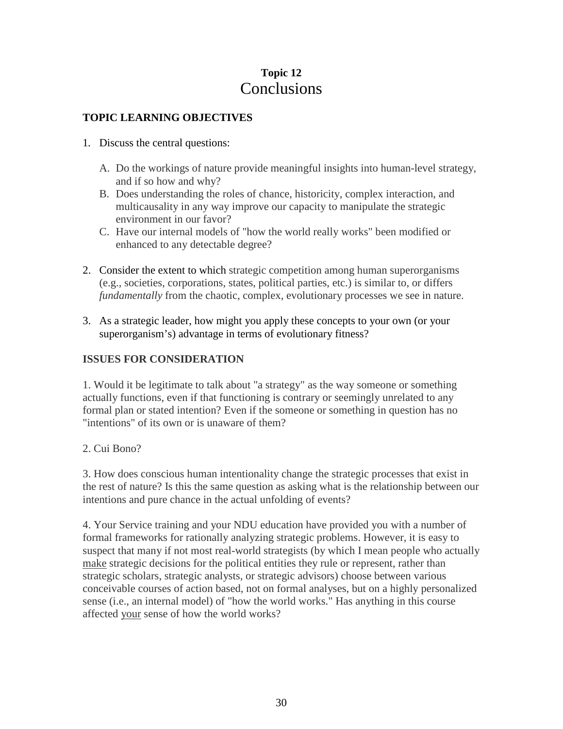# **Topic 12 Conclusions**

## **TOPIC LEARNING OBJECTIVES**

- 1. Discuss the central questions:
	- A. Do the workings of nature provide meaningful insights into human-level strategy, and if so how and why?
	- B. Does understanding the roles of chance, historicity, complex interaction, and multicausality in any way improve our capacity to manipulate the strategic environment in our favor?
	- C. Have our internal models of "how the world really works" been modified or enhanced to any detectable degree?
- 2. Consider the extent to which strategic competition among human superorganisms (e.g., societies, corporations, states, political parties, etc.) is similar to, or differs *fundamentally* from the chaotic, complex, evolutionary processes we see in nature.
- 3. As a strategic leader, how might you apply these concepts to your own (or your superorganism's) advantage in terms of evolutionary fitness?

### **ISSUES FOR CONSIDERATION**

1. Would it be legitimate to talk about "a strategy" as the way someone or something actually functions, even if that functioning is contrary or seemingly unrelated to any formal plan or stated intention? Even if the someone or something in question has no "intentions" of its own or is unaware of them?

### 2. Cui Bono?

3. How does conscious human intentionality change the strategic processes that exist in the rest of nature? Is this the same question as asking what is the relationship between our intentions and pure chance in the actual unfolding of events?

4. Your Service training and your NDU education have provided you with a number of formal frameworks for rationally analyzing strategic problems. However, it is easy to suspect that many if not most real-world strategists (by which I mean people who actually make strategic decisions for the political entities they rule or represent, rather than strategic scholars, strategic analysts, or strategic advisors) choose between various conceivable courses of action based, not on formal analyses, but on a highly personalized sense (i.e., an internal model) of "how the world works." Has anything in this course affected your sense of how the world works?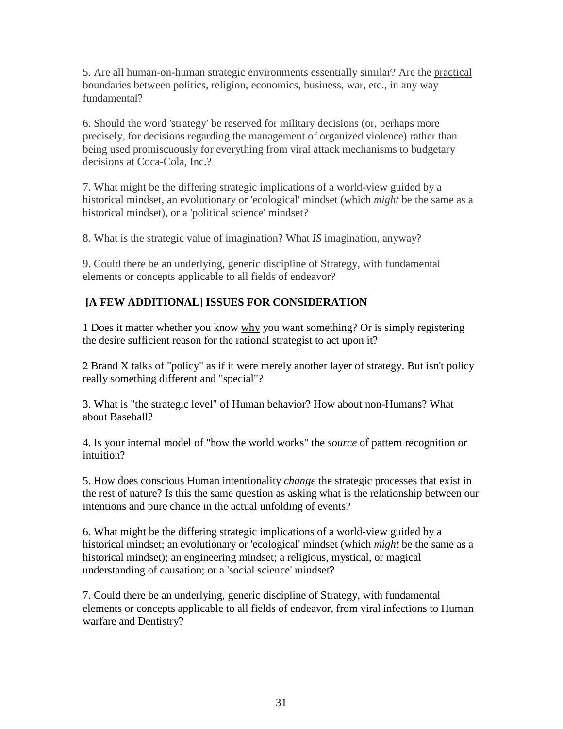5. Are all human-on-human strategic environments essentially similar? Are the practical boundaries between politics, religion, economics, business, war, etc., in any way fundamental?

6. Should the word 'strategy' be reserved for military decisions (or, perhaps more precisely, for decisions regarding the management of organized violence) rather than being used promiscuously for everything from viral attack mechanisms to budgetary decisions at Coca-Cola, Inc.?

7. What might be the differing strategic implications of a world-view guided by a historical mindset, an evolutionary or 'ecological' mindset (which *might* be the same as a historical mindset), or a 'political science' mindset?

8. What is the strategic value of imagination? What *IS* imagination, anyway?

9. Could there be an underlying, generic discipline of Strategy, with fundamental elements or concepts applicable to all fields of endeavor?

# **[A FEW ADDITIONAL] ISSUES FOR CONSIDERATION**

1 Does it matter whether you know why you want something? Or is simply registering the desire sufficient reason for the rational strategist to act upon it?

2 Brand X talks of "policy" as if it were merely another layer of strategy. But isn't policy really something different and "special"?

3. What is "the strategic level" of Human behavior? How about non-Humans? What about Baseball?

4. Is your internal model of "how the world works" the *source* of pattern recognition or intuition?

5. How does conscious Human intentionality *change* the strategic processes that exist in the rest of nature? Is this the same question as asking what is the relationship between our intentions and pure chance in the actual unfolding of events?

6. What might be the differing strategic implications of a world-view guided by a historical mindset; an evolutionary or 'ecological' mindset (which *might* be the same as a historical mindset); an engineering mindset; a religious, mystical, or magical understanding of causation; or a 'social science' mindset?

7. Could there be an underlying, generic discipline of Strategy, with fundamental elements or concepts applicable to all fields of endeavor, from viral infections to Human warfare and Dentistry?